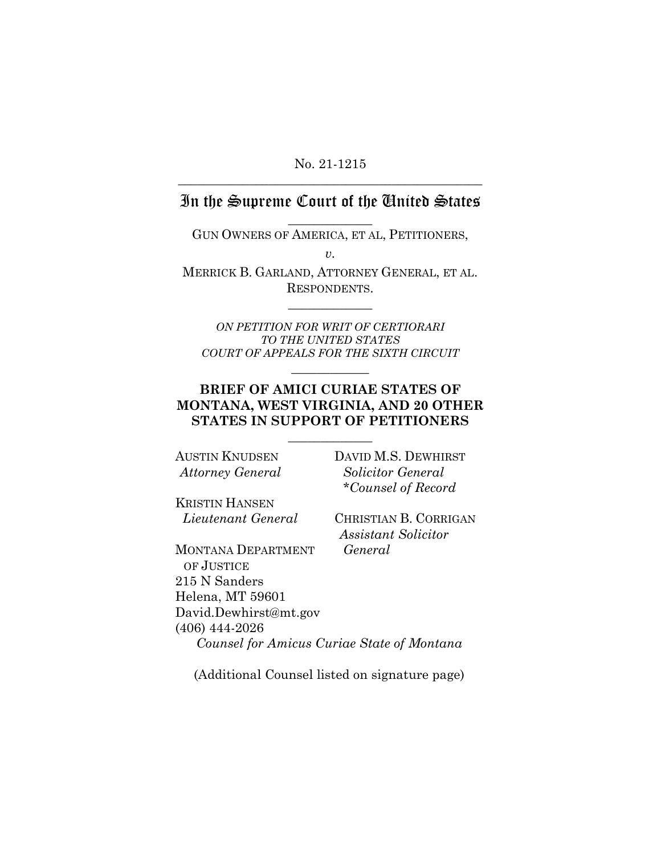#### No. 21-1215 **\_\_\_\_\_\_\_\_\_\_\_\_\_\_\_\_\_\_\_\_\_\_\_\_\_\_\_\_\_\_\_\_\_\_\_\_\_\_\_\_\_\_\_\_\_\_\_**

# In the Supreme Court of the United States

**\_\_\_\_\_\_\_\_\_\_\_\_\_**  GUN OWNERS OF AMERICA, ET AL, PETITIONERS,

*v.* 

MERRICK B. GARLAND, ATTORNEY GENERAL, ET AL. RESPONDENTS.

**\_\_\_\_\_\_\_\_\_\_\_\_\_**

*ON PETITION FOR WRIT OF CERTIORARI TO THE UNITED STATES COURT OF APPEALS FOR THE SIXTH CIRCUIT*

**\_\_\_\_\_\_\_\_\_\_\_\_** 

## **BRIEF OF AMICI CURIAE STATES OF MONTANA, WEST VIRGINIA, AND 20 OTHER STATES IN SUPPORT OF PETITIONERS**

**\_\_\_\_\_\_\_\_\_\_\_\_\_** 

AUSTIN KNUDSEN *Attorney General* DAVID M.S. DEWHIRST *Solicitor General \*Counsel of Record*

KRISTIN HANSEN *Lieutenant General*

CHRISTIAN B. CORRIGAN *Assistant Solicitor General*

MONTANA DEPARTMENT OF JUSTICE 215 N Sanders Helena, MT 59601 David.Dewhirst@mt.gov (406) 444-2026 *Counsel for Amicus Curiae State of Montana*

(Additional Counsel listed on signature page)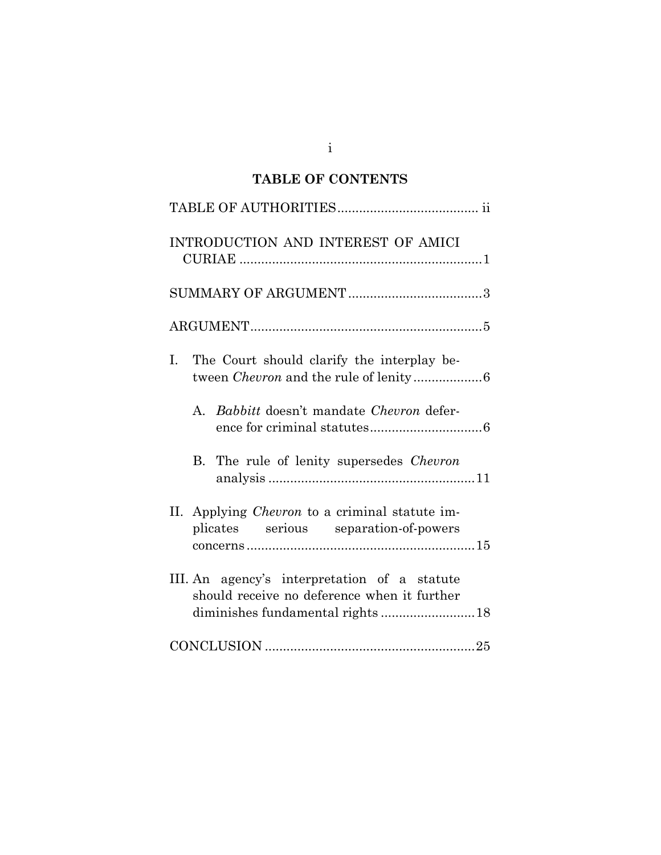# **TABLE OF CONTENTS**

| INTRODUCTION AND INTEREST OF AMICI                                                             |
|------------------------------------------------------------------------------------------------|
|                                                                                                |
|                                                                                                |
| The Court should clarify the interplay be-<br>Ι.                                               |
| <i>Babbitt</i> doesn't mandate <i>Chevron</i> defer-<br>A.                                     |
| B. The rule of lenity supersedes <i>Chevron</i>                                                |
| II. Applying <i>Chevron</i> to a criminal statute im-<br>plicates serious separation-of-powers |
| III. An agency's interpretation of a statute<br>should receive no deference when it further    |
|                                                                                                |

i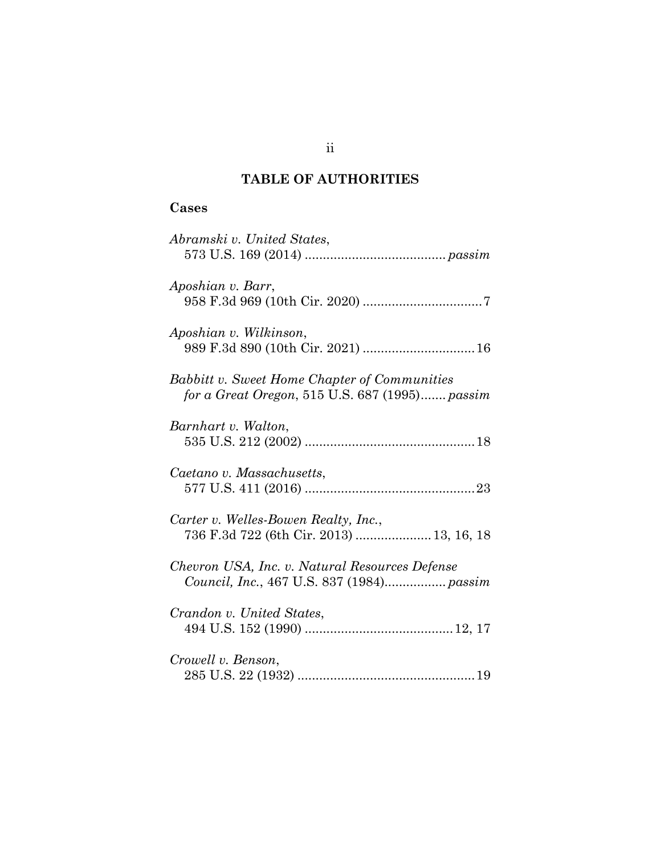# **TABLE OF AUTHORITIES**

## **Cases**

| Abramski v. United States,                                                                            |
|-------------------------------------------------------------------------------------------------------|
| Aposhian v. Barr,                                                                                     |
| Aposhian v. Wilkinson,                                                                                |
| <b>Babbitt v. Sweet Home Chapter of Communities</b><br>for a Great Oregon, 515 U.S. 687 (1995) passim |
| Barnhart v. Walton,                                                                                   |
| Caetano v. Massachusetts,                                                                             |
| Carter v. Welles-Bowen Realty, Inc.,<br>736 F.3d 722 (6th Cir. 2013)  13, 16, 18                      |
| Chevron USA, Inc. v. Natural Resources Defense<br>Council, Inc., 467 U.S. 837 (1984) passim           |
| Crandon v. United States,                                                                             |
| Crowell v. Benson,                                                                                    |

ii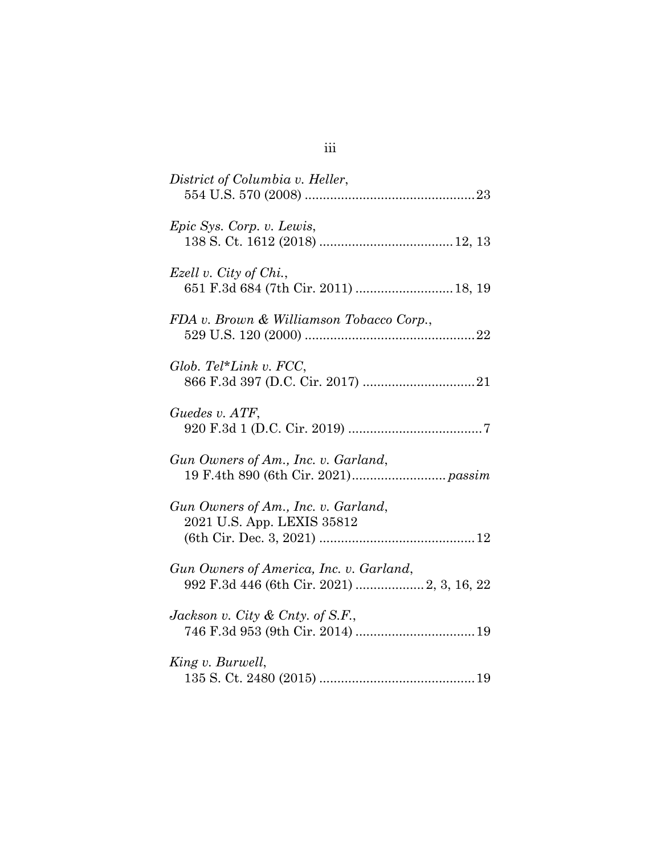| District of Columbia v. Heller,                                   |
|-------------------------------------------------------------------|
| <i>Epic Sys. Corp. v. Lewis,</i>                                  |
| Ezell v. City of Chi.,<br>651 F.3d 684 (7th Cir. 2011)  18, 19    |
| FDA v. Brown & Williamson Tobacco Corp.,                          |
| Glob. Tel*Link v. $FCC$ ,                                         |
| Guedes v. ATF,                                                    |
| Gun Owners of Am., Inc. v. Garland,                               |
| Gun Owners of Am., Inc. v. Garland,<br>2021 U.S. App. LEXIS 35812 |
| Gun Owners of America, Inc. v. Garland,                           |
| Jackson v. City & Cnty. of S.F.,                                  |
| King v. Burwell,                                                  |

iii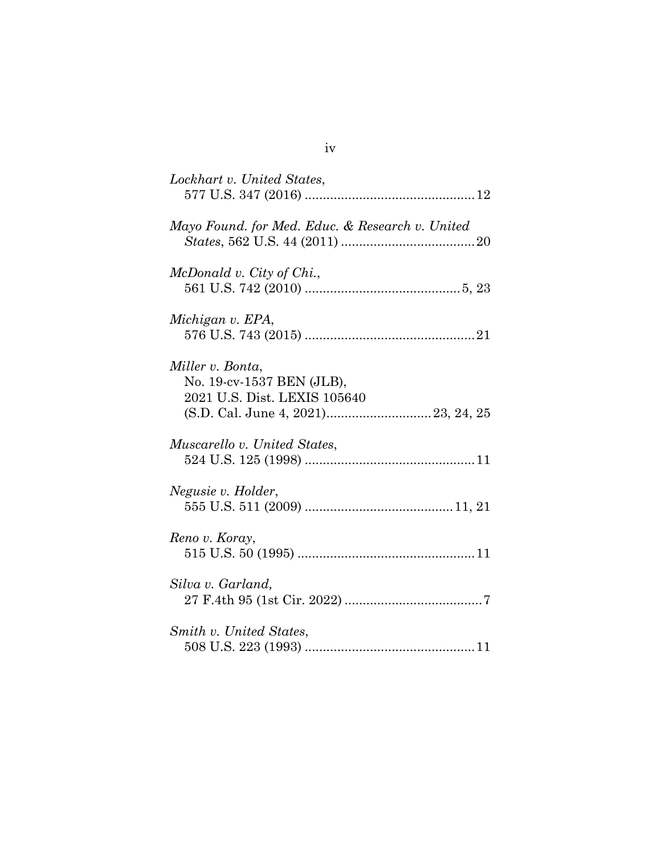| Lockhart v. United States,                                                    |
|-------------------------------------------------------------------------------|
| Mayo Found. for Med. Educ. & Research v. United                               |
| McDonald v. City of Chi.,                                                     |
| Michigan v. EPA,                                                              |
| Miller v. Bonta,<br>No. 19-cv-1537 BEN (JLB),<br>2021 U.S. Dist. LEXIS 105640 |
| Muscarello v. United States,                                                  |
| Negusie v. Holder,                                                            |
| Reno v. Koray,                                                                |
| Silva v. Garland,                                                             |
| Smith v. United States,                                                       |

iv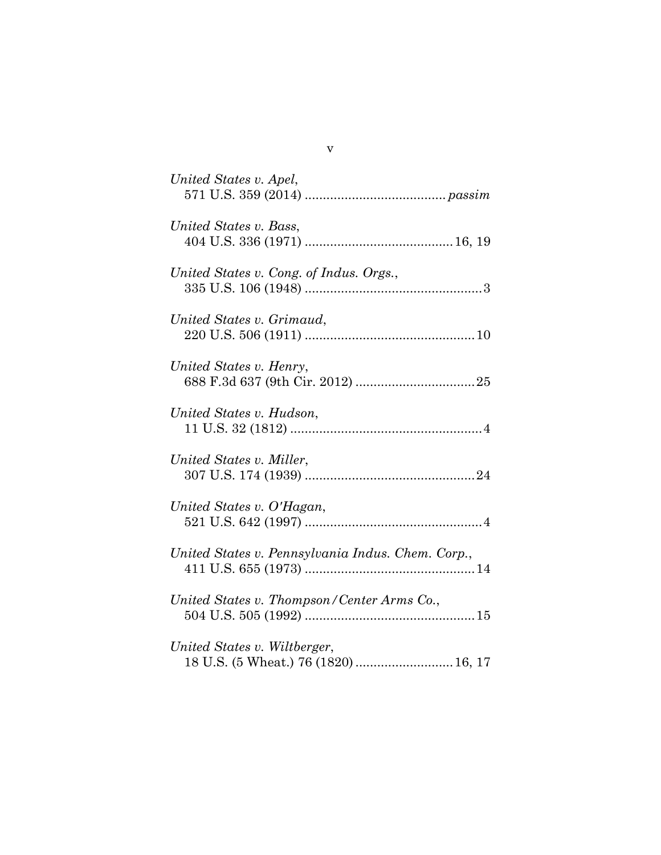| United States v. Apel,                            |
|---------------------------------------------------|
| United States v. Bass,                            |
| United States v. Cong. of Indus. Orgs.,           |
| United States v. Grimaud,                         |
| United States v. Henry,                           |
| United States v. Hudson,                          |
| United States v. Miller,                          |
| United States v. O'Hagan,                         |
| United States v. Pennsylvania Indus. Chem. Corp., |
| United States v. Thompson/Center Arms Co.,        |
| United States v. Wiltberger,                      |

v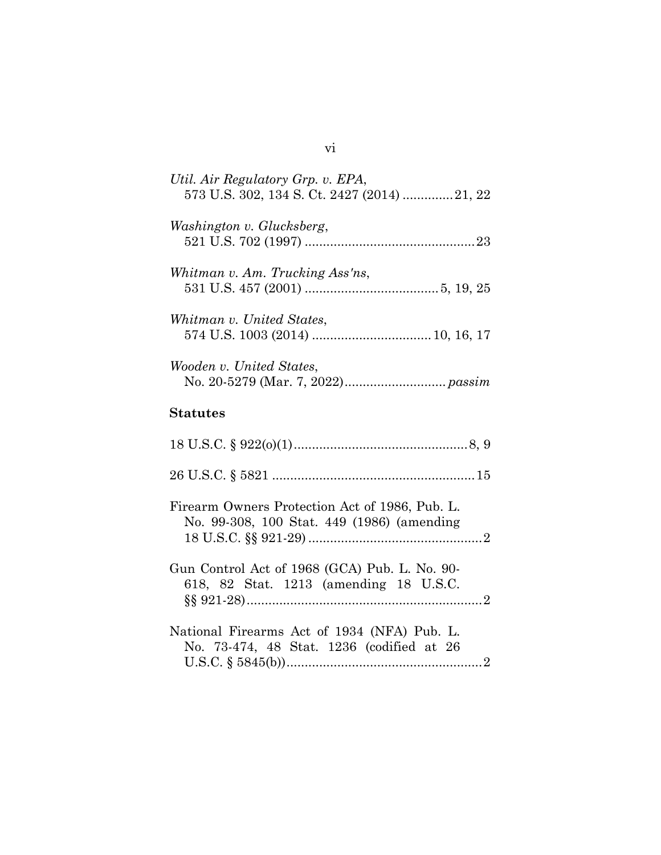| Util. Air Regulatory Grp. v. EPA,<br>573 U.S. 302, 134 S. Ct. 2427 (2014) 21, 22             |
|----------------------------------------------------------------------------------------------|
| Washington v. Glucksberg,                                                                    |
| Whitman v. Am. Trucking Ass'ns,                                                              |
| Whitman v. United States,                                                                    |
| Wooden v. United States,                                                                     |
| <b>Statutes</b>                                                                              |
|                                                                                              |
|                                                                                              |
| Firearm Owners Protection Act of 1986, Pub. L.<br>No. 99-308, 100 Stat. 449 (1986) (amending |
| Gun Control Act of 1968 (GCA) Pub. L. No. 90-<br>618, 82 Stat. 1213 (amending 18 U.S.C.      |
| National Firearms Act of 1934 (NFA) Pub. L.<br>No. 73-474, 48 Stat. 1236 (codified at 26     |

# vi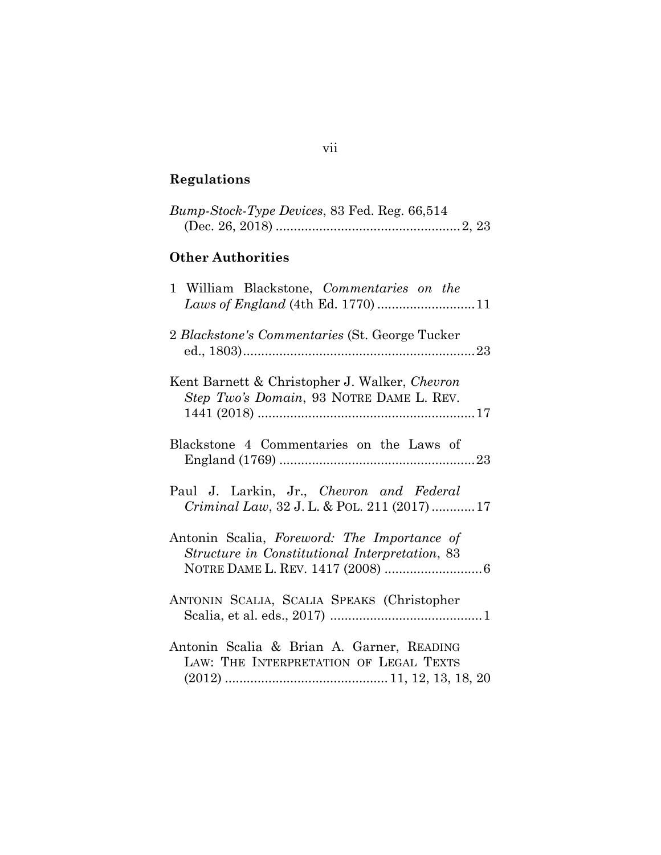# **Regulations**

| Bump-Stock-Type Devices, 83 Fed. Reg. 66,514                                                  |
|-----------------------------------------------------------------------------------------------|
| <b>Other Authorities</b>                                                                      |
| 1 William Blackstone, Commentaries on the<br>Laws of England (4th Ed. 1770)  11               |
| 2 Blackstone's Commentaries (St. George Tucker                                                |
| Kent Barnett & Christopher J. Walker, Chevron<br>Step Two's Domain, 93 NOTRE DAME L. REV.     |
| Blackstone 4 Commentaries on the Laws of                                                      |
| Paul J. Larkin, Jr., Chevron and Federal<br>Criminal Law, 32 J. L. & POL. 211 (2017) 17       |
| Antonin Scalia, Foreword: The Importance of<br>Structure in Constitutional Interpretation, 83 |
| ANTONIN SCALIA, SCALIA SPEAKS (Christopher                                                    |
| Antonin Scalia & Brian A. Garner, READING<br>LAW: THE INTERPRETATION OF LEGAL TEXTS           |

# vii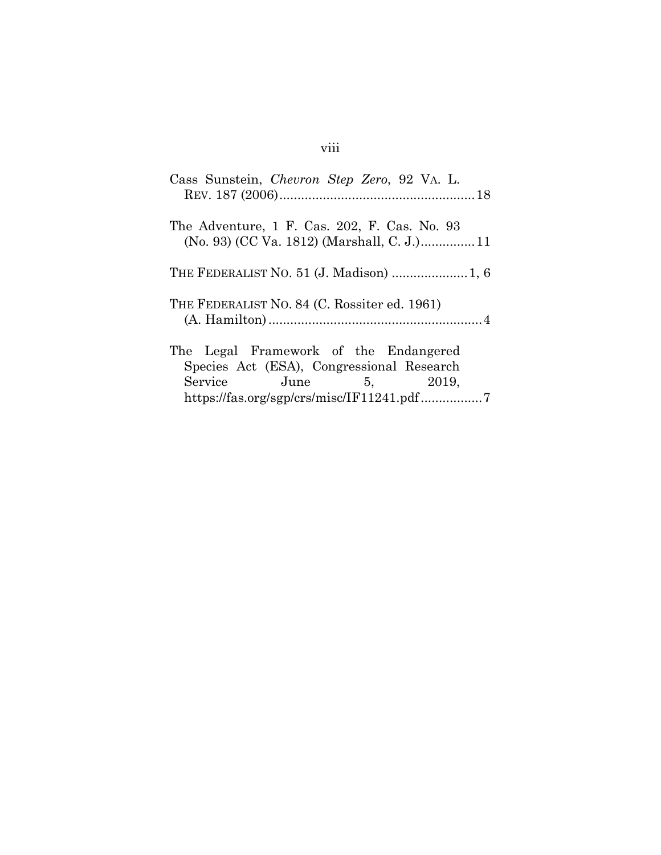| Cass Sunstein, Chevron Step Zero, 92 VA. L.  |
|----------------------------------------------|
| The Adventure, 1 F. Cas. 202, F. Cas. No. 93 |
|                                              |
| THE FEDERALIST NO. 84 (C. Rossiter ed. 1961) |
| The Legal Framework of the Endangered        |
| Species Act (ESA), Congressional Research    |
| Service June 5, 2019,                        |
| https://fas.org/sgp/crs/misc/IF11241.pdf7    |

# viii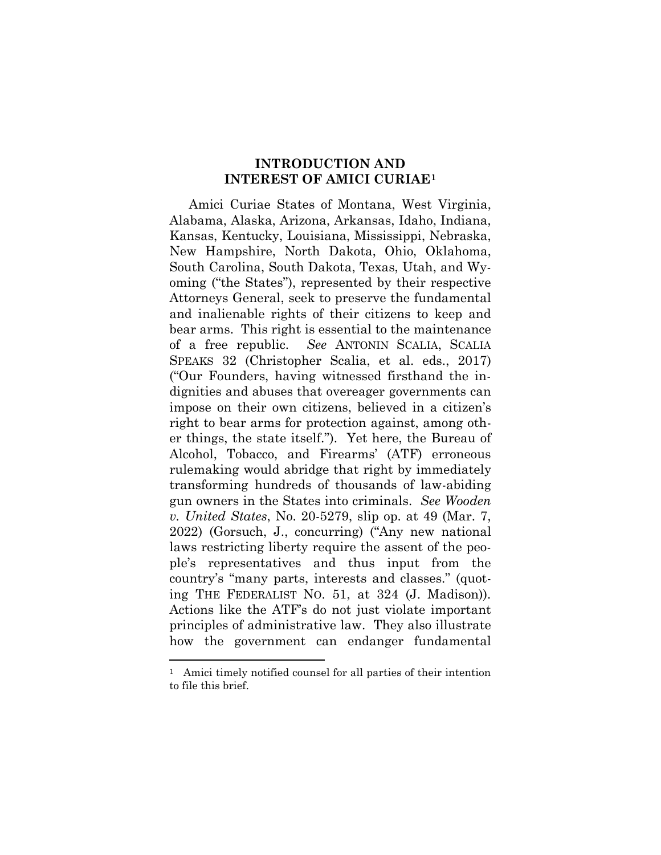## **INTRODUCTION AND INTEREST OF AMICI CURIAE1**

Amici Curiae States of Montana, West Virginia, Alabama, Alaska, Arizona, Arkansas, Idaho, Indiana, Kansas, Kentucky, Louisiana, Mississippi, Nebraska, New Hampshire, North Dakota, Ohio, Oklahoma, South Carolina, South Dakota, Texas, Utah, and Wyoming ("the States"), represented by their respective Attorneys General, seek to preserve the fundamental and inalienable rights of their citizens to keep and bear arms. This right is essential to the maintenance of a free republic. *See* ANTONIN SCALIA, SCALIA SPEAKS 32 (Christopher Scalia, et al. eds., 2017) ("Our Founders, having witnessed firsthand the indignities and abuses that overeager governments can impose on their own citizens, believed in a citizen's right to bear arms for protection against, among other things, the state itself."). Yet here, the Bureau of Alcohol, Tobacco, and Firearms' (ATF) erroneous rulemaking would abridge that right by immediately transforming hundreds of thousands of law-abiding gun owners in the States into criminals. *See Wooden v. United States*, No. 20-5279, slip op. at 49 (Mar. 7, 2022) (Gorsuch, J., concurring) ("Any new national laws restricting liberty require the assent of the people's representatives and thus input from the country's "many parts, interests and classes." (quoting THE FEDERALIST NO. 51, at 324 (J. Madison)). Actions like the ATF's do not just violate important principles of administrative law. They also illustrate how the government can endanger fundamental

<sup>1</sup> Amici timely notified counsel for all parties of their intention to file this brief.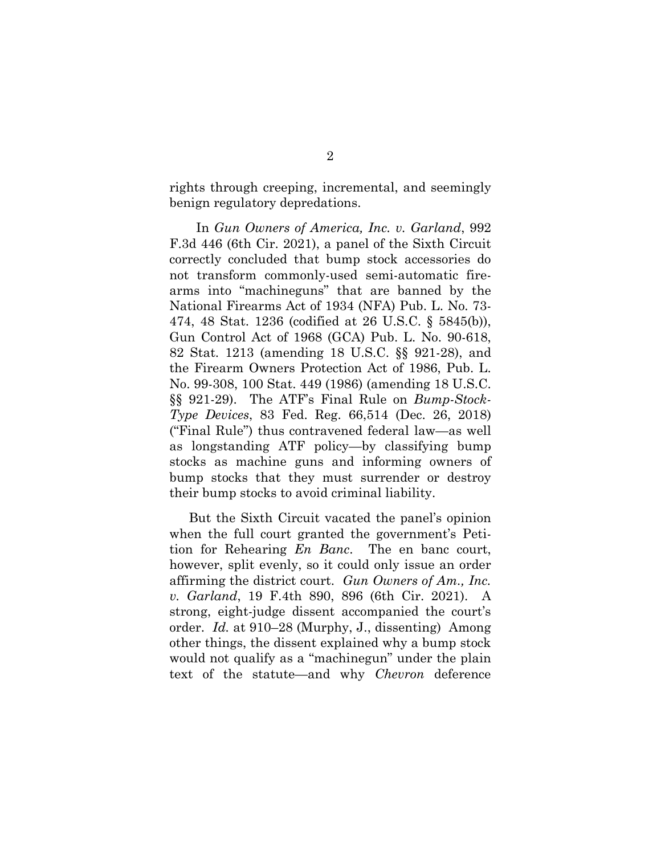rights through creeping, incremental, and seemingly benign regulatory depredations.

 In *Gun Owners of America, Inc. v. Garland*, 992 F.3d 446 (6th Cir. 2021), a panel of the Sixth Circuit correctly concluded that bump stock accessories do not transform commonly-used semi-automatic firearms into "machineguns" that are banned by the National Firearms Act of 1934 (NFA) Pub. L. No. 73- 474, 48 Stat. 1236 (codified at 26 U.S.C. § 5845(b)), Gun Control Act of 1968 (GCA) Pub. L. No. 90-618, 82 Stat. 1213 (amending 18 U.S.C. §§ 921-28), and the Firearm Owners Protection Act of 1986, Pub. L. No. 99-308, 100 Stat. 449 (1986) (amending 18 U.S.C. §§ 921-29). The ATF's Final Rule on *Bump-Stock-Type Devices*, 83 Fed. Reg. 66,514 (Dec. 26, 2018) ("Final Rule") thus contravened federal law—as well as longstanding ATF policy—by classifying bump stocks as machine guns and informing owners of bump stocks that they must surrender or destroy their bump stocks to avoid criminal liability.

But the Sixth Circuit vacated the panel's opinion when the full court granted the government's Petition for Rehearing *En Banc*. The en banc court, however, split evenly, so it could only issue an order affirming the district court. *Gun Owners of Am., Inc. v. Garland*, 19 F.4th 890, 896 (6th Cir. 2021). A strong, eight-judge dissent accompanied the court's order. *Id.* at 910–28 (Murphy, J., dissenting) Among other things, the dissent explained why a bump stock would not qualify as a "machinegun" under the plain text of the statute—and why *Chevron* deference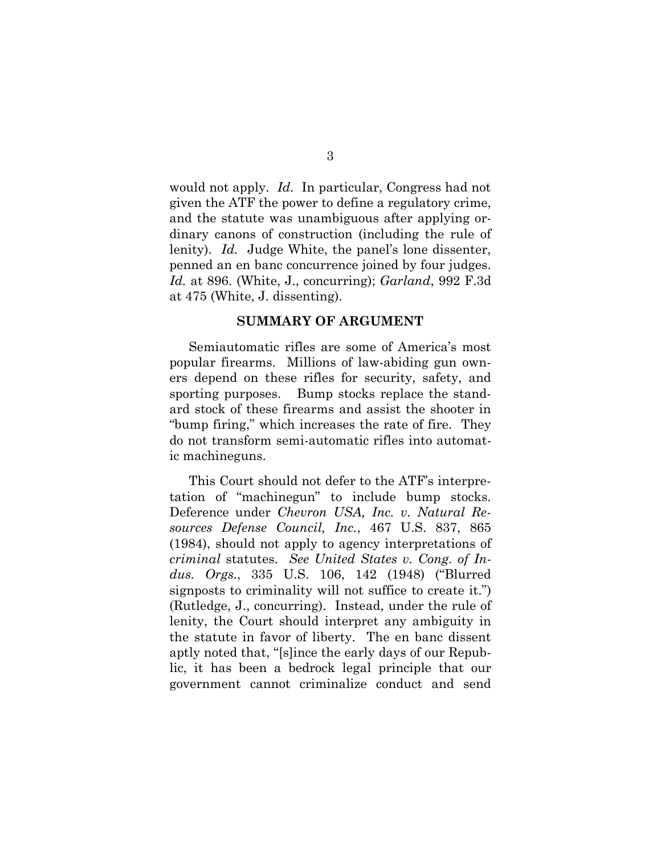would not apply. *Id.* In particular, Congress had not given the ATF the power to define a regulatory crime, and the statute was unambiguous after applying ordinary canons of construction (including the rule of lenity). *Id.* Judge White, the panel's lone dissenter, penned an en banc concurrence joined by four judges. *Id.* at 896. (White, J., concurring); *Garland*, 992 F.3d at 475 (White, J. dissenting).

#### **SUMMARY OF ARGUMENT**

Semiautomatic rifles are some of America's most popular firearms. Millions of law-abiding gun owners depend on these rifles for security, safety, and sporting purposes. Bump stocks replace the standard stock of these firearms and assist the shooter in "bump firing," which increases the rate of fire. They do not transform semi-automatic rifles into automatic machineguns.

This Court should not defer to the ATF's interpretation of "machinegun" to include bump stocks. Deference under *Chevron USA, Inc. v. Natural Resources Defense Council, Inc.*, 467 U.S. 837, 865 (1984), should not apply to agency interpretations of *criminal* statutes. *See United States v. Cong. of Indus. Orgs*., 335 U.S. 106, 142 (1948) ("Blurred signposts to criminality will not suffice to create it.") (Rutledge, J., concurring). Instead, under the rule of lenity, the Court should interpret any ambiguity in the statute in favor of liberty. The en banc dissent aptly noted that, "[s]ince the early days of our Republic, it has been a bedrock legal principle that our government cannot criminalize conduct and send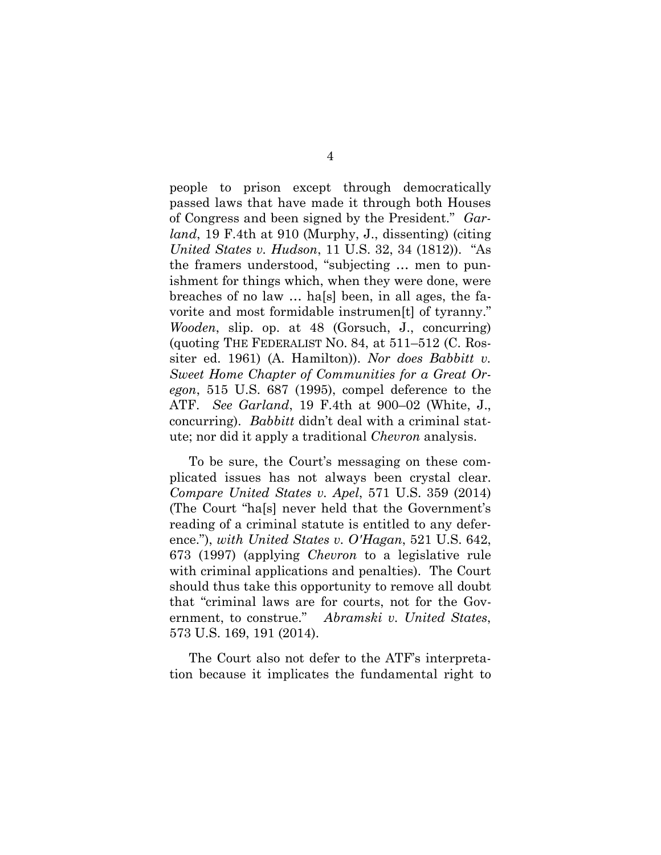people to prison except through democratically passed laws that have made it through both Houses of Congress and been signed by the President." *Garland*, 19 F.4th at 910 (Murphy, J., dissenting) (citing *United States v. Hudson*, 11 U.S. 32, 34 (1812)). "As the framers understood, "subjecting … men to punishment for things which, when they were done, were breaches of no law … ha[s] been, in all ages, the favorite and most formidable instrumen[t] of tyranny." *Wooden*, slip. op. at 48 (Gorsuch, J., concurring) (quoting THE FEDERALIST NO. 84, at 511–512 (C. Rossiter ed. 1961) (A. Hamilton)). *Nor does Babbitt v. Sweet Home Chapter of Communities for a Great Oregon*, 515 U.S. 687 (1995), compel deference to the ATF. *See Garland*, 19 F.4th at 900–02 (White, J., concurring). *Babbitt* didn't deal with a criminal statute; nor did it apply a traditional *Chevron* analysis.

To be sure, the Court's messaging on these complicated issues has not always been crystal clear. *Compare United States v. Apel*, 571 U.S. 359 (2014) (The Court "ha[s] never held that the Government's reading of a criminal statute is entitled to any deference."), *with United States v. O'Hagan*, 521 U.S. 642, 673 (1997) (applying *Chevron* to a legislative rule with criminal applications and penalties). The Court should thus take this opportunity to remove all doubt that "criminal laws are for courts, not for the Government, to construe." *Abramski v. United States*, 573 U.S. 169, 191 (2014).

The Court also not defer to the ATF's interpretation because it implicates the fundamental right to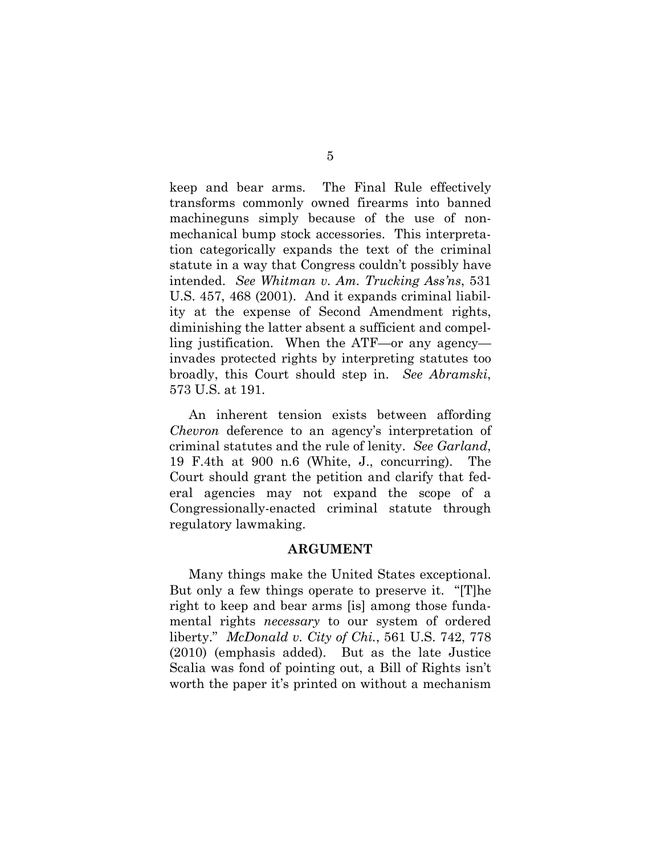keep and bear arms. The Final Rule effectively transforms commonly owned firearms into banned machineguns simply because of the use of nonmechanical bump stock accessories. This interpretation categorically expands the text of the criminal statute in a way that Congress couldn't possibly have intended. *See Whitman v. Am. Trucking Ass'ns*, 531 U.S. 457, 468 (2001). And it expands criminal liability at the expense of Second Amendment rights, diminishing the latter absent a sufficient and compelling justification. When the ATF—or any agency invades protected rights by interpreting statutes too broadly, this Court should step in. *See Abramski*, 573 U.S. at 191.

An inherent tension exists between affording *Chevron* deference to an agency's interpretation of criminal statutes and the rule of lenity. *See Garland*, 19 F.4th at 900 n.6 (White, J., concurring). The Court should grant the petition and clarify that federal agencies may not expand the scope of a Congressionally-enacted criminal statute through regulatory lawmaking.

#### **ARGUMENT**

Many things make the United States exceptional. But only a few things operate to preserve it. "[T]he right to keep and bear arms [is] among those fundamental rights *necessary* to our system of ordered liberty." *McDonald v. City of Chi.*, 561 U.S. 742, 778 (2010) (emphasis added). But as the late Justice Scalia was fond of pointing out, a Bill of Rights isn't worth the paper it's printed on without a mechanism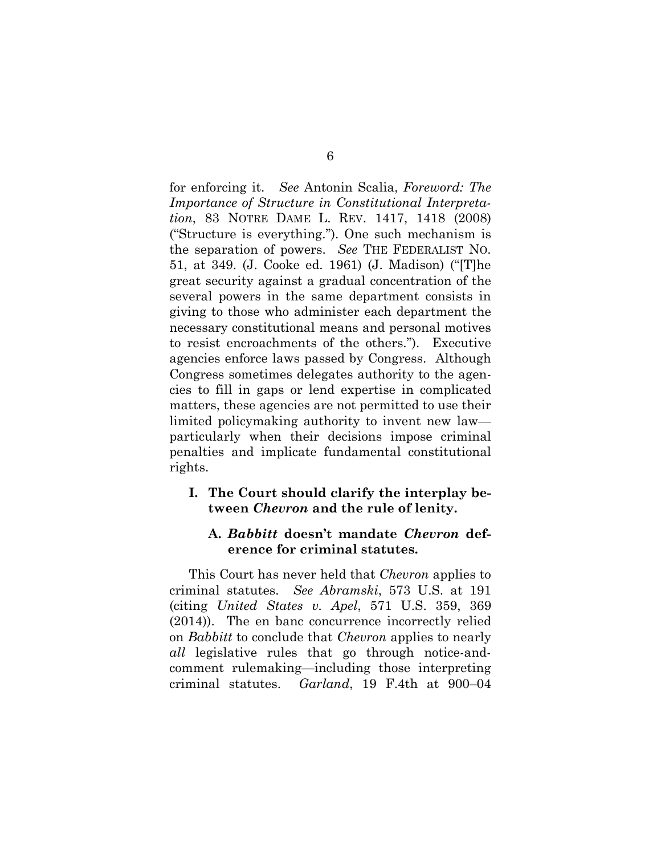for enforcing it. *See* Antonin Scalia, *Foreword: The Importance of Structure in Constitutional Interpretation*, 83 NOTRE DAME L. REV. 1417, 1418 (2008) ("Structure is everything."). One such mechanism is the separation of powers. *See* THE FEDERALIST NO. 51, at 349. (J. Cooke ed. 1961) (J. Madison) ("[T]he great security against a gradual concentration of the several powers in the same department consists in giving to those who administer each department the necessary constitutional means and personal motives to resist encroachments of the others."). Executive agencies enforce laws passed by Congress. Although Congress sometimes delegates authority to the agencies to fill in gaps or lend expertise in complicated matters, these agencies are not permitted to use their limited policymaking authority to invent new law particularly when their decisions impose criminal penalties and implicate fundamental constitutional rights.

### **I. The Court should clarify the interplay between** *Chevron* **and the rule of lenity.**

## **A.** *Babbitt* **doesn't mandate** *Chevron* **deference for criminal statutes.**

This Court has never held that *Chevron* applies to criminal statutes. *See Abramski*, 573 U.S. at 191 (citing *United States v. Apel*, 571 U.S. 359, 369 (2014)). The en banc concurrence incorrectly relied on *Babbitt* to conclude that *Chevron* applies to nearly *all* legislative rules that go through notice-andcomment rulemaking—including those interpreting criminal statutes. *Garland*, 19 F.4th at 900–04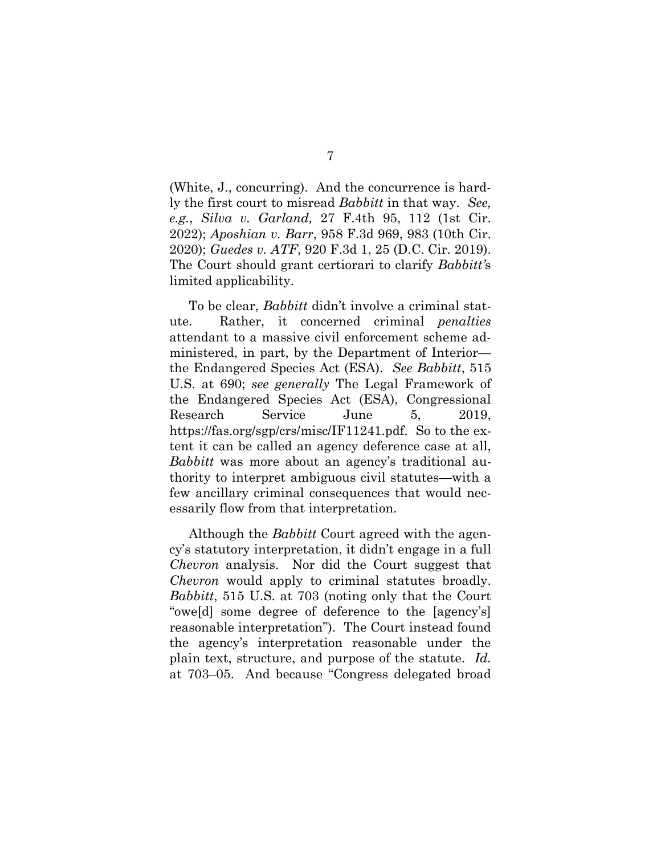(White, J., concurring). And the concurrence is hardly the first court to misread *Babbitt* in that way. *See, e.g.*, *Silva v. Garland,* 27 F.4th 95, 112 (1st Cir. 2022); *Aposhian v. Barr*, 958 F.3d 969, 983 (10th Cir. 2020); *Guedes v. ATF*, 920 F.3d 1, 25 (D.C. Cir. 2019). The Court should grant certiorari to clarify *Babbitt'*s limited applicability.

To be clear, *Babbitt* didn't involve a criminal statute. Rather, it concerned criminal *penalties* attendant to a massive civil enforcement scheme administered, in part, by the Department of Interior the Endangered Species Act (ESA). *See Babbitt*, 515 U.S. at 690; *see generally* The Legal Framework of the Endangered Species Act (ESA), Congressional Research Service June 5, 2019, https://fas.org/sgp/crs/misc/IF11241.pdf. So to the extent it can be called an agency deference case at all, *Babbitt* was more about an agency's traditional authority to interpret ambiguous civil statutes—with a few ancillary criminal consequences that would necessarily flow from that interpretation.

Although the *Babbitt* Court agreed with the agency's statutory interpretation, it didn't engage in a full *Chevron* analysis. Nor did the Court suggest that *Chevron* would apply to criminal statutes broadly. *Babbitt*, 515 U.S. at 703 (noting only that the Court "owe[d] some degree of deference to the [agency's] reasonable interpretation"). The Court instead found the agency's interpretation reasonable under the plain text, structure, and purpose of the statute. *Id.* at 703–05. And because "Congress delegated broad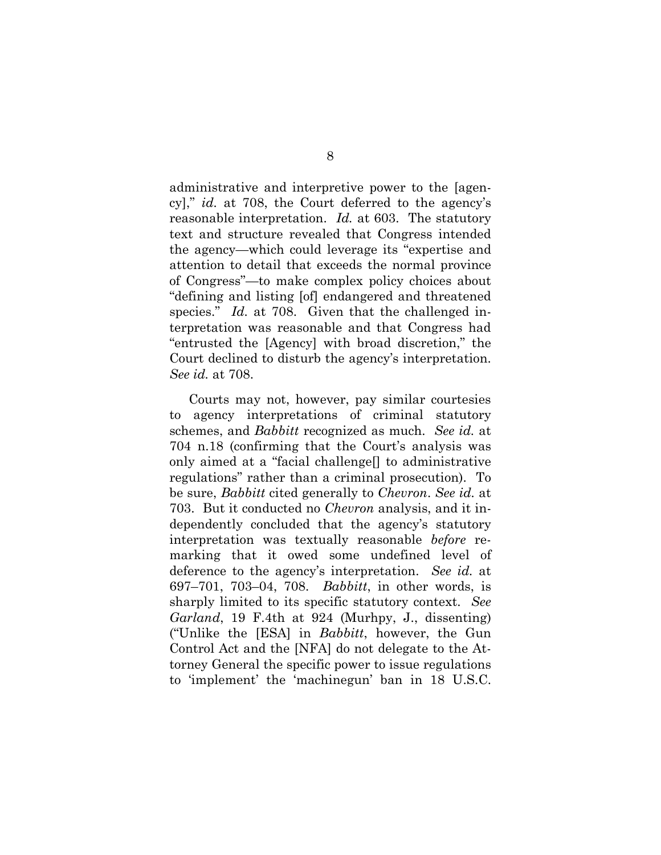administrative and interpretive power to the [agency]," *id.* at 708, the Court deferred to the agency's reasonable interpretation. *Id.* at 603. The statutory text and structure revealed that Congress intended the agency—which could leverage its "expertise and attention to detail that exceeds the normal province of Congress"—to make complex policy choices about "defining and listing [of] endangered and threatened species." *Id.* at 708. Given that the challenged interpretation was reasonable and that Congress had "entrusted the [Agency] with broad discretion," the Court declined to disturb the agency's interpretation. *See id.* at 708.

Courts may not, however, pay similar courtesies to agency interpretations of criminal statutory schemes, and *Babbitt* recognized as much. *See id.* at 704 n.18 (confirming that the Court's analysis was only aimed at a "facial challenge[] to administrative regulations" rather than a criminal prosecution). To be sure, *Babbitt* cited generally to *Chevron*. *See id.* at 703. But it conducted no *Chevron* analysis, and it independently concluded that the agency's statutory interpretation was textually reasonable *before* remarking that it owed some undefined level of deference to the agency's interpretation. *See id.* at 697–701, 703–04, 708. *Babbitt*, in other words, is sharply limited to its specific statutory context. *See Garland*, 19 F.4th at 924 (Murhpy, J., dissenting) ("Unlike the [ESA] in *Babbitt*, however, the Gun Control Act and the [NFA] do not delegate to the Attorney General the specific power to issue regulations to 'implement' the 'machinegun' ban in 18 U.S.C.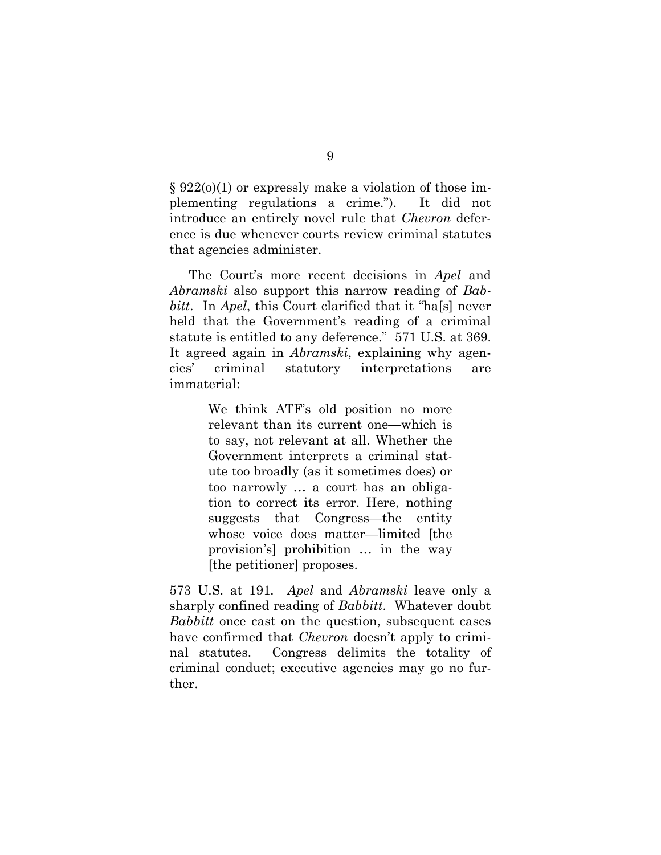§ 922(o)(1) or expressly make a violation of those implementing regulations a crime."). It did not introduce an entirely novel rule that *Chevron* deference is due whenever courts review criminal statutes that agencies administer.

The Court's more recent decisions in *Apel* and *Abramski* also support this narrow reading of *Babbitt*. In *Apel*, this Court clarified that it "ha[s] never held that the Government's reading of a criminal statute is entitled to any deference." 571 U.S. at 369. It agreed again in *Abramski*, explaining why agencies' criminal statutory interpretations are immaterial:

> We think ATF's old position no more relevant than its current one—which is to say, not relevant at all. Whether the Government interprets a criminal statute too broadly (as it sometimes does) or too narrowly … a court has an obligation to correct its error. Here, nothing suggests that Congress—the entity whose voice does matter—limited [the provision's] prohibition … in the way [the petitioner] proposes.

573 U.S. at 191*. Apel* and *Abramski* leave only a sharply confined reading of *Babbitt*. Whatever doubt *Babbitt* once cast on the question, subsequent cases have confirmed that *Chevron* doesn't apply to criminal statutes. Congress delimits the totality of criminal conduct; executive agencies may go no further.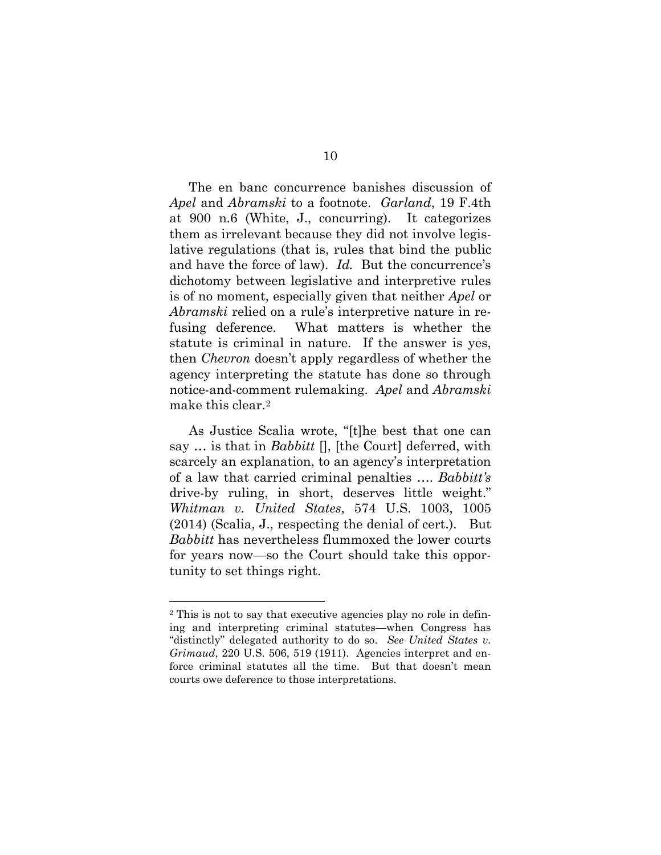The en banc concurrence banishes discussion of *Apel* and *Abramski* to a footnote. *Garland*, 19 F.4th at 900 n.6 (White, J., concurring). It categorizes them as irrelevant because they did not involve legislative regulations (that is, rules that bind the public and have the force of law). *Id.* But the concurrence's dichotomy between legislative and interpretive rules is of no moment, especially given that neither *Apel* or *Abramski* relied on a rule's interpretive nature in refusing deference. What matters is whether the statute is criminal in nature. If the answer is yes, then *Chevron* doesn't apply regardless of whether the agency interpreting the statute has done so through notice-and-comment rulemaking. *Apel* and *Abramski*  make this clear.2

As Justice Scalia wrote, "[t]he best that one can say … is that in *Babbitt* [], [the Court] deferred, with scarcely an explanation, to an agency's interpretation of a law that carried criminal penalties …. *Babbitt's*  drive-by ruling, in short, deserves little weight." *Whitman v. United States*, 574 U.S. 1003, 1005 (2014) (Scalia, J., respecting the denial of cert.). But *Babbitt* has nevertheless flummoxed the lower courts for years now—so the Court should take this opportunity to set things right.

<sup>2</sup> This is not to say that executive agencies play no role in defining and interpreting criminal statutes—when Congress has "distinctly" delegated authority to do so. *See United States v. Grimaud*, 220 U.S. 506, 519 (1911). Agencies interpret and enforce criminal statutes all the time. But that doesn't mean courts owe deference to those interpretations.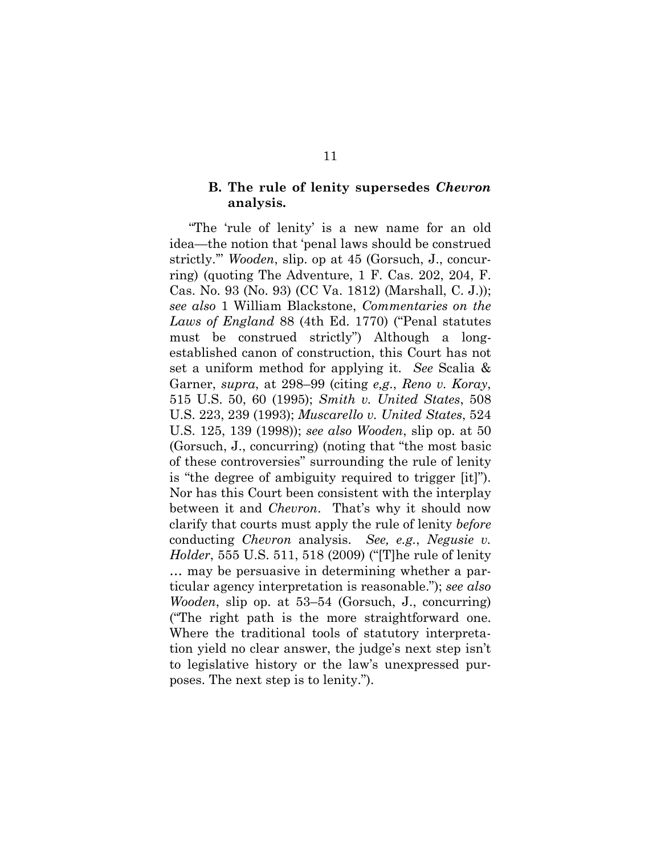#### **B. The rule of lenity supersedes** *Chevron* **analysis.**

"The 'rule of lenity' is a new name for an old idea—the notion that 'penal laws should be construed strictly.'" *Wooden*, slip. op at 45 (Gorsuch, J., concurring) (quoting The Adventure, 1 F. Cas. 202, 204, F. Cas. No. 93 (No. 93) (CC Va. 1812) (Marshall, C. J.)); *see also* 1 William Blackstone, *Commentaries on the Laws of England* 88 (4th Ed. 1770) ("Penal statutes must be construed strictly") Although a longestablished canon of construction, this Court has not set a uniform method for applying it. *See* Scalia & Garner, *supra*, at 298–99 (citing *e,g*., *Reno v. Koray*, 515 U.S. 50, 60 (1995); *Smith v. United States*, 508 U.S. 223, 239 (1993); *Muscarello v. United States*, 524 U.S. 125, 139 (1998)); *see also Wooden*, slip op. at 50 (Gorsuch, J., concurring) (noting that "the most basic of these controversies" surrounding the rule of lenity is "the degree of ambiguity required to trigger [it]"). Nor has this Court been consistent with the interplay between it and *Chevron*. That's why it should now clarify that courts must apply the rule of lenity *before* conducting *Chevron* analysis. *See, e.g.*, *Negusie v. Holder*, 555 U.S. 511, 518 (2009) ("[T]he rule of lenity … may be persuasive in determining whether a particular agency interpretation is reasonable."); *see also Wooden*, slip op. at 53–54 (Gorsuch, J., concurring) ("The right path is the more straightforward one. Where the traditional tools of statutory interpretation yield no clear answer, the judge's next step isn't to legislative history or the law's unexpressed purposes. The next step is to lenity.").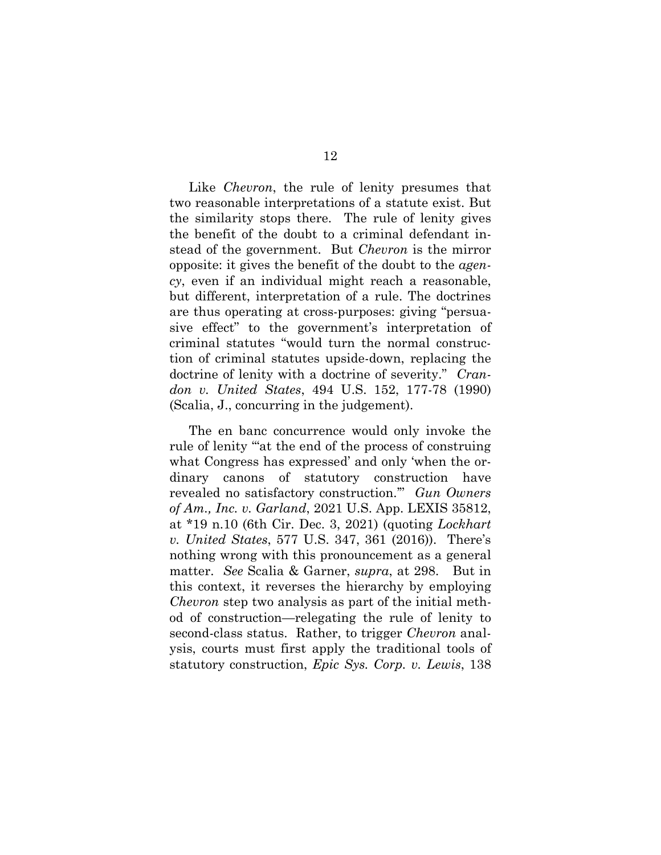Like *Chevron*, the rule of lenity presumes that two reasonable interpretations of a statute exist. But the similarity stops there. The rule of lenity gives the benefit of the doubt to a criminal defendant instead of the government. But *Chevron* is the mirror opposite: it gives the benefit of the doubt to the *agency*, even if an individual might reach a reasonable, but different, interpretation of a rule. The doctrines are thus operating at cross-purposes: giving "persuasive effect" to the government's interpretation of criminal statutes "would turn the normal construction of criminal statutes upside-down, replacing the doctrine of lenity with a doctrine of severity." *Crandon v. United States*, 494 U.S. 152, 177-78 (1990) (Scalia, J., concurring in the judgement).

The en banc concurrence would only invoke the rule of lenity '"at the end of the process of construing what Congress has expressed' and only 'when the ordinary canons of statutory construction have revealed no satisfactory construction.'" *Gun Owners of Am., Inc. v. Garland*, 2021 U.S. App. LEXIS 35812, at \*19 n.10 (6th Cir. Dec. 3, 2021) (quoting *Lockhart v. United States*, 577 U.S. 347, 361 (2016)). There's nothing wrong with this pronouncement as a general matter. *See* Scalia & Garner, *supra*, at 298. But in this context, it reverses the hierarchy by employing *Chevron* step two analysis as part of the initial method of construction—relegating the rule of lenity to second-class status. Rather, to trigger *Chevron* analysis, courts must first apply the traditional tools of statutory construction, *Epic Sys. Corp. v. Lewis*, 138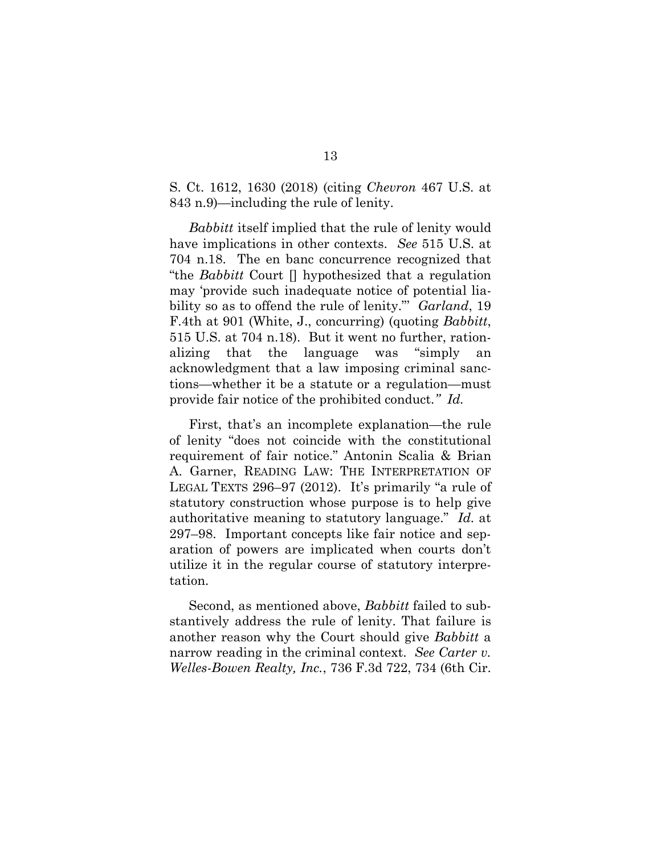#### S. Ct. 1612, 1630 (2018) (citing *Chevron* 467 U.S. at 843 n.9)—including the rule of lenity.

*Babbitt* itself implied that the rule of lenity would have implications in other contexts. *See* 515 U.S. at 704 n.18. The en banc concurrence recognized that "the *Babbitt* Court [] hypothesized that a regulation may 'provide such inadequate notice of potential liability so as to offend the rule of lenity."' *Garland*, 19 F.4th at 901 (White, J., concurring) (quoting *Babbitt*, 515 U.S. at 704 n.18). But it went no further, rationalizing that the language was "simply acknowledgment that a law imposing criminal sanctions—whether it be a statute or a regulation—must provide fair notice of the prohibited conduct*." Id.*

First, that's an incomplete explanation—the rule of lenity "does not coincide with the constitutional requirement of fair notice." Antonin Scalia & Brian A. Garner, READING LAW: THE INTERPRETATION OF LEGAL TEXTS 296–97 (2012). It's primarily "a rule of statutory construction whose purpose is to help give authoritative meaning to statutory language." *Id.* at 297–98. Important concepts like fair notice and separation of powers are implicated when courts don't utilize it in the regular course of statutory interpretation.

Second, as mentioned above, *Babbitt* failed to substantively address the rule of lenity. That failure is another reason why the Court should give *Babbitt* a narrow reading in the criminal context. *See Carter v. Welles-Bowen Realty, Inc.*, 736 F.3d 722, 734 (6th Cir.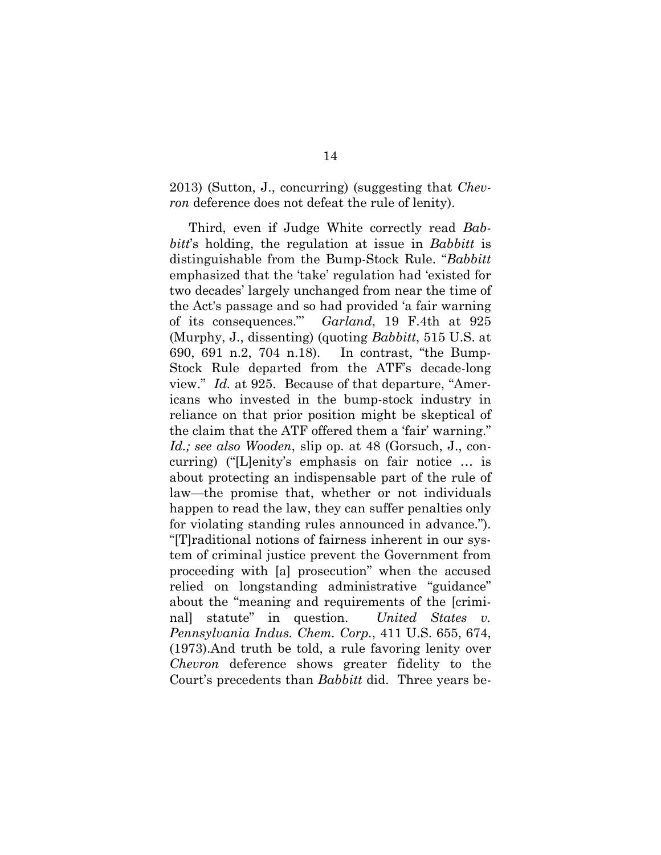2013) (Sutton, J., concurring) (suggesting that *Chevron* deference does not defeat the rule of lenity).

Third, even if Judge White correctly read *Babbitt*'s holding, the regulation at issue in *Babbitt* is distinguishable from the Bump-Stock Rule. "*Babbitt* emphasized that the 'take' regulation had 'existed for two decades' largely unchanged from near the time of the Act's passage and so had provided 'a fair warning of its consequences."' *Garland*, 19 F.4th at 925 (Murphy, J., dissenting) (quoting *Babbitt*, 515 U.S. at 690, 691 n.2, 704 n.18). In contrast, "the Bump-Stock Rule departed from the ATF's decade-long view." *Id.* at 925. Because of that departure, "Americans who invested in the bump-stock industry in reliance on that prior position might be skeptical of the claim that the ATF offered them a 'fair' warning." *Id.; see also Wooden*, slip op. at 48 (Gorsuch, J., concurring) ("[L]enity's emphasis on fair notice … is about protecting an indispensable part of the rule of law—the promise that, whether or not individuals happen to read the law, they can suffer penalties only for violating standing rules announced in advance."). "[T]raditional notions of fairness inherent in our system of criminal justice prevent the Government from proceeding with [a] prosecution" when the accused relied on longstanding administrative "guidance" about the "meaning and requirements of the [criminal] statute" in question. *United States Pennsylvania Indus. Chem. Corp.*, 411 U.S. 655, 674, (1973).And truth be told, a rule favoring lenity over *Chevron* deference shows greater fidelity to the Court's precedents than *Babbitt* did. Three years be-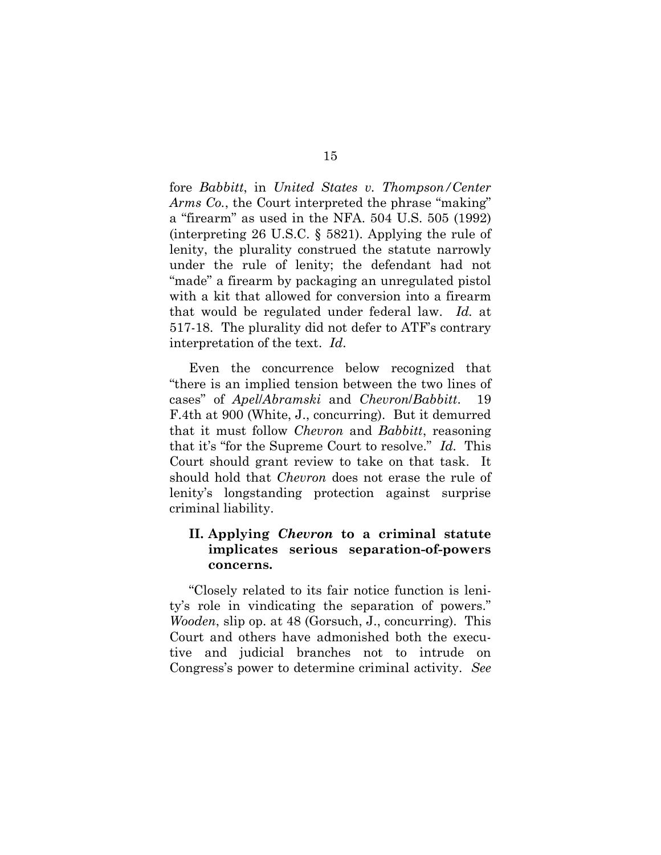fore *Babbitt*, in *United States v. Thompson/Center Arms Co.*, the Court interpreted the phrase "making" a "firearm" as used in the NFA. 504 U.S. 505 (1992) (interpreting 26 U.S.C. § 5821). Applying the rule of lenity, the plurality construed the statute narrowly under the rule of lenity; the defendant had not "made" a firearm by packaging an unregulated pistol with a kit that allowed for conversion into a firearm that would be regulated under federal law. *Id.* at 517-18. The plurality did not defer to ATF's contrary interpretation of the text. *Id*.

Even the concurrence below recognized that "there is an implied tension between the two lines of cases" of *Apel*/*Abramski* and *Chevron*/*Babbitt*. 19 F.4th at 900 (White, J., concurring). But it demurred that it must follow *Chevron* and *Babbitt*, reasoning that it's "for the Supreme Court to resolve." *Id.* This Court should grant review to take on that task. It should hold that *Chevron* does not erase the rule of lenity's longstanding protection against surprise criminal liability.

### **II. Applying** *Chevron* **to a criminal statute implicates serious separation-of-powers concerns.**

"Closely related to its fair notice function is lenity's role in vindicating the separation of powers." *Wooden*, slip op. at 48 (Gorsuch, J., concurring). This Court and others have admonished both the executive and judicial branches not to intrude on Congress's power to determine criminal activity. *See*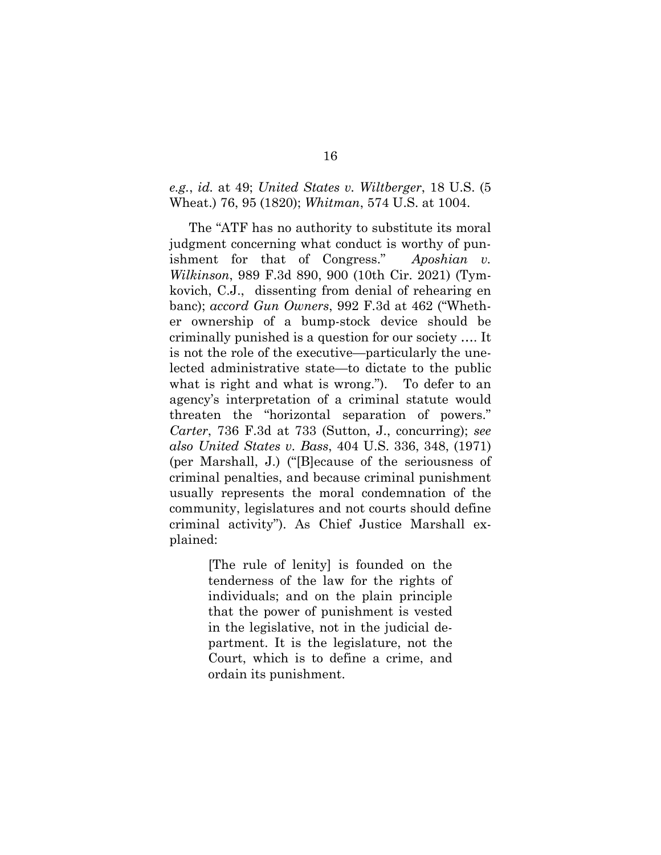#### *e.g.*, *id.* at 49; *United States v. Wiltberger*, 18 U.S. (5 Wheat.) 76, 95 (1820); *Whitman*, 574 U.S. at 1004.

The "ATF has no authority to substitute its moral judgment concerning what conduct is worthy of punishment for that of Congress." *Aposhian v. Wilkinson*, 989 F.3d 890, 900 (10th Cir. 2021) (Tymkovich, C.J., dissenting from denial of rehearing en banc); *accord Gun Owners*, 992 F.3d at 462 ("Whether ownership of a bump-stock device should be criminally punished is a question for our society …. It is not the role of the executive—particularly the unelected administrative state—to dictate to the public what is right and what is wrong."). To defer to an agency's interpretation of a criminal statute would threaten the "horizontal separation of powers." *Carter*, 736 F.3d at 733 (Sutton, J., concurring); *see also United States v. Bass*, 404 U.S. 336, 348, (1971) (per Marshall, J.) ("[B]ecause of the seriousness of criminal penalties, and because criminal punishment usually represents the moral condemnation of the community, legislatures and not courts should define criminal activity"). As Chief Justice Marshall explained:

> [The rule of lenity] is founded on the tenderness of the law for the rights of individuals; and on the plain principle that the power of punishment is vested in the legislative, not in the judicial department. It is the legislature, not the Court, which is to define a crime, and ordain its punishment.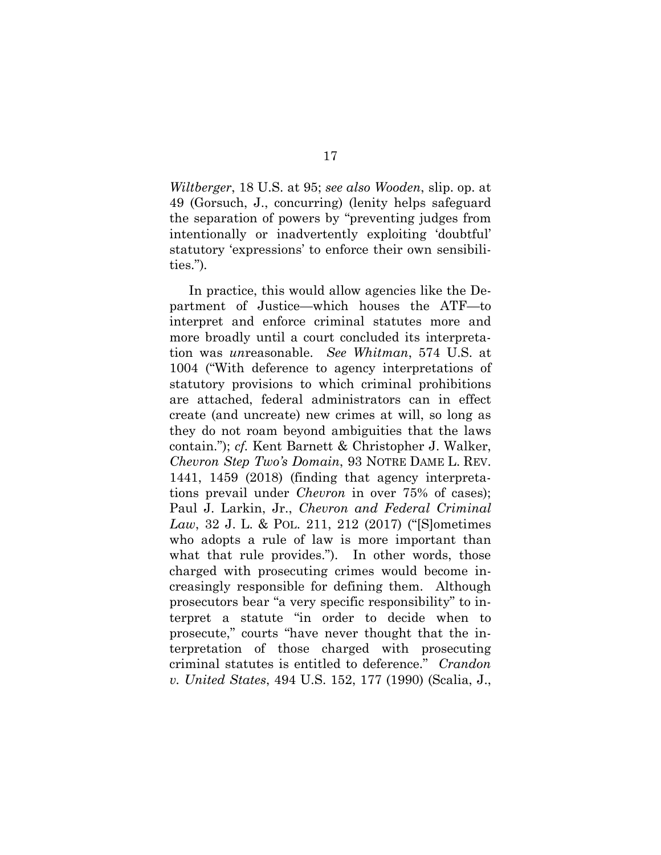*Wiltberger*, 18 U.S. at 95; *see also Wooden*, slip. op. at 49 (Gorsuch, J., concurring) (lenity helps safeguard the separation of powers by "preventing judges from intentionally or inadvertently exploiting 'doubtful' statutory 'expressions' to enforce their own sensibilities.")*.* 

In practice, this would allow agencies like the Department of Justice—which houses the ATF—to interpret and enforce criminal statutes more and more broadly until a court concluded its interpretation was *un*reasonable. *See Whitman*, 574 U.S. at 1004 ("With deference to agency interpretations of statutory provisions to which criminal prohibitions are attached, federal administrators can in effect create (and uncreate) new crimes at will, so long as they do not roam beyond ambiguities that the laws contain."); *cf.* Kent Barnett & Christopher J. Walker, *Chevron Step Two's Domain*, 93 NOTRE DAME L. REV. 1441, 1459 (2018) (finding that agency interpretations prevail under *Chevron* in over 75% of cases); Paul J. Larkin, Jr., *Chevron and Federal Criminal Law*, 32 J. L. & POL. 211, 212 (2017) ("[S]ometimes who adopts a rule of law is more important than what that rule provides."). In other words, those charged with prosecuting crimes would become increasingly responsible for defining them. Although prosecutors bear "a very specific responsibility" to interpret a statute "in order to decide when to prosecute," courts "have never thought that the interpretation of those charged with prosecuting criminal statutes is entitled to deference." *Crandon v. United States*, 494 U.S. 152, 177 (1990) (Scalia, J.,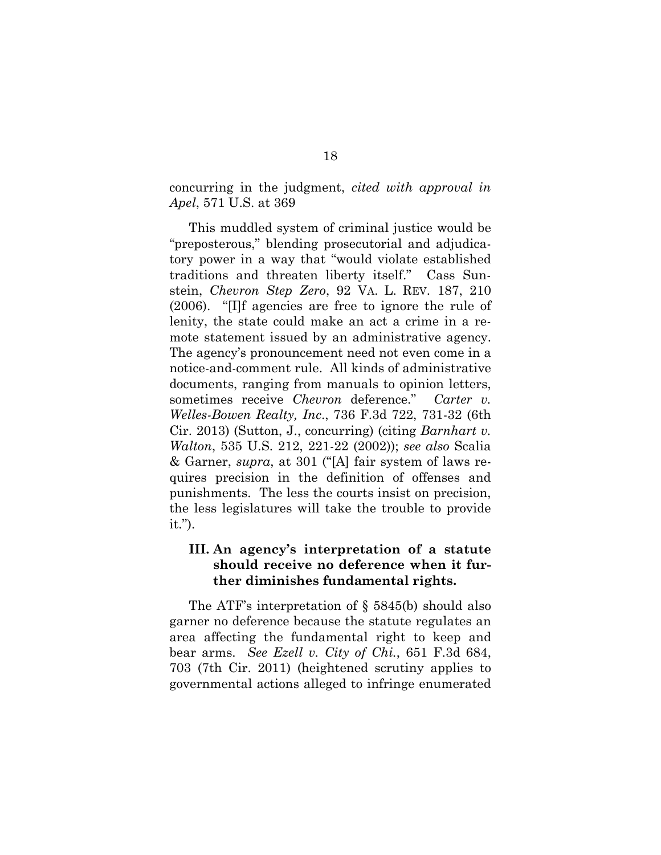concurring in the judgment, *cited with approval in Apel*, 571 U.S. at 369

This muddled system of criminal justice would be "preposterous," blending prosecutorial and adjudicatory power in a way that "would violate established traditions and threaten liberty itself." Cass Sunstein, *Chevron Step Zero*, 92 VA. L. REV. 187, 210 (2006). "[I]f agencies are free to ignore the rule of lenity, the state could make an act a crime in a remote statement issued by an administrative agency. The agency's pronouncement need not even come in a notice-and-comment rule. All kinds of administrative documents, ranging from manuals to opinion letters, sometimes receive *Chevron* deference." *Carter v. Welles-Bowen Realty, Inc*., 736 F.3d 722, 731-32 (6th Cir. 2013) (Sutton, J., concurring) (citing *Barnhart v. Walton*, 535 U.S. 212, 221-22 (2002)); *see also* Scalia & Garner, *supra*, at 301 ("[A] fair system of laws requires precision in the definition of offenses and punishments. The less the courts insist on precision, the less legislatures will take the trouble to provide it.").

## **III. An agency's interpretation of a statute should receive no deference when it further diminishes fundamental rights.**

The ATF's interpretation of § 5845(b) should also garner no deference because the statute regulates an area affecting the fundamental right to keep and bear arms. *See Ezell v. City of Chi.*, 651 F.3d 684, 703 (7th Cir. 2011) (heightened scrutiny applies to governmental actions alleged to infringe enumerated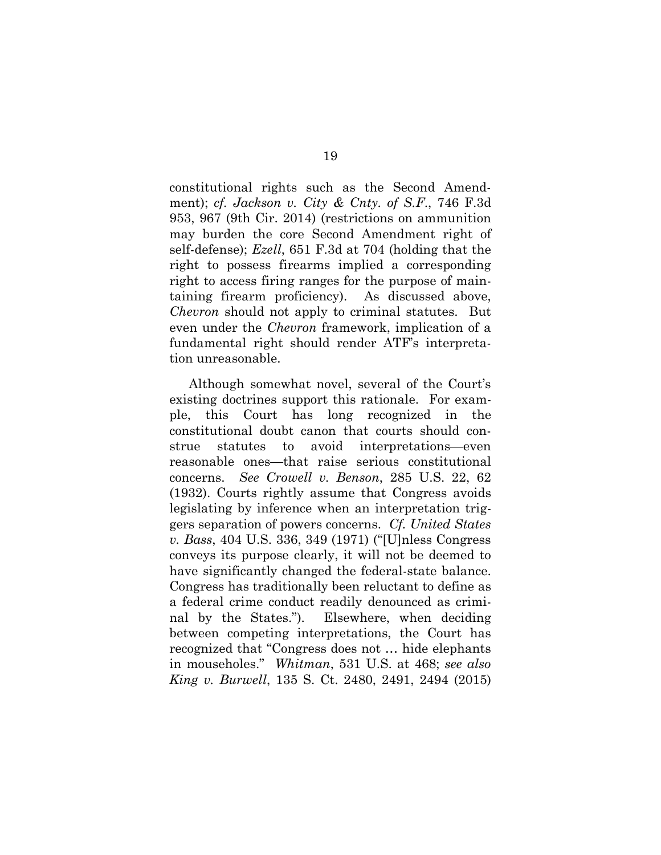constitutional rights such as the Second Amendment); *cf. Jackson v. City & Cnty. of S.F*., 746 F.3d 953, 967 (9th Cir. 2014) (restrictions on ammunition may burden the core Second Amendment right of self-defense); *Ezell*, 651 F.3d at 704 (holding that the right to possess firearms implied a corresponding right to access firing ranges for the purpose of maintaining firearm proficiency). As discussed above, *Chevron* should not apply to criminal statutes. But even under the *Chevron* framework, implication of a fundamental right should render ATF's interpretation unreasonable.

Although somewhat novel, several of the Court's existing doctrines support this rationale. For example, this Court has long recognized in the constitutional doubt canon that courts should construe statutes to avoid interpretations—even reasonable ones—that raise serious constitutional concerns. *See Crowell v. Benson*, 285 U.S. 22, 62 (1932). Courts rightly assume that Congress avoids legislating by inference when an interpretation triggers separation of powers concerns. *Cf. United States v. Bass*, 404 U.S. 336, 349 (1971) ("[U]nless Congress conveys its purpose clearly, it will not be deemed to have significantly changed the federal-state balance. Congress has traditionally been reluctant to define as a federal crime conduct readily denounced as criminal by the States."). Elsewhere, when deciding between competing interpretations, the Court has recognized that "Congress does not … hide elephants in mouseholes." *Whitman*, 531 U.S. at 468; *see also King v. Burwell*, 135 S. Ct. 2480, 2491, 2494 (2015)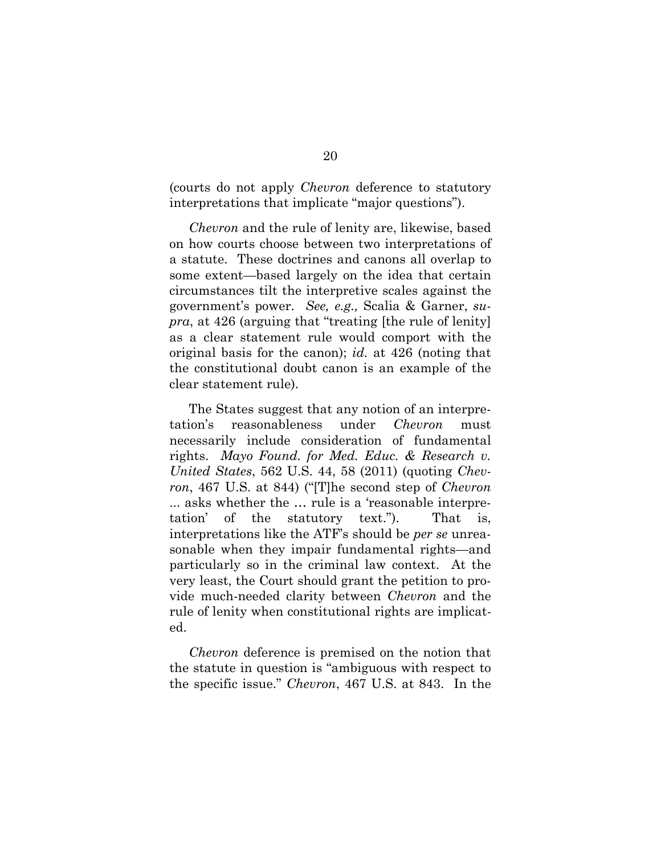(courts do not apply *Chevron* deference to statutory interpretations that implicate "major questions").

*Chevron* and the rule of lenity are, likewise, based on how courts choose between two interpretations of a statute. These doctrines and canons all overlap to some extent—based largely on the idea that certain circumstances tilt the interpretive scales against the government's power. *See, e.g.,* Scalia & Garner, *supra*, at 426 (arguing that "treating [the rule of lenity] as a clear statement rule would comport with the original basis for the canon); *id.* at 426 (noting that the constitutional doubt canon is an example of the clear statement rule).

The States suggest that any notion of an interpretation's reasonableness under *Chevron* must necessarily include consideration of fundamental rights. *Mayo Found. for Med. Educ. & Research v. United States*, 562 U.S. 44, 58 (2011) (quoting *Chevron*, 467 U.S. at 844) ("[T]he second step of *Chevron* ... asks whether the … rule is a 'reasonable interpretation' of the statutory text."). That is, interpretations like the ATF's should be *per se* unreasonable when they impair fundamental rights—and particularly so in the criminal law context. At the very least, the Court should grant the petition to provide much-needed clarity between *Chevron* and the rule of lenity when constitutional rights are implicated.

*Chevron* deference is premised on the notion that the statute in question is "ambiguous with respect to the specific issue." *Chevron*, 467 U.S. at 843. In the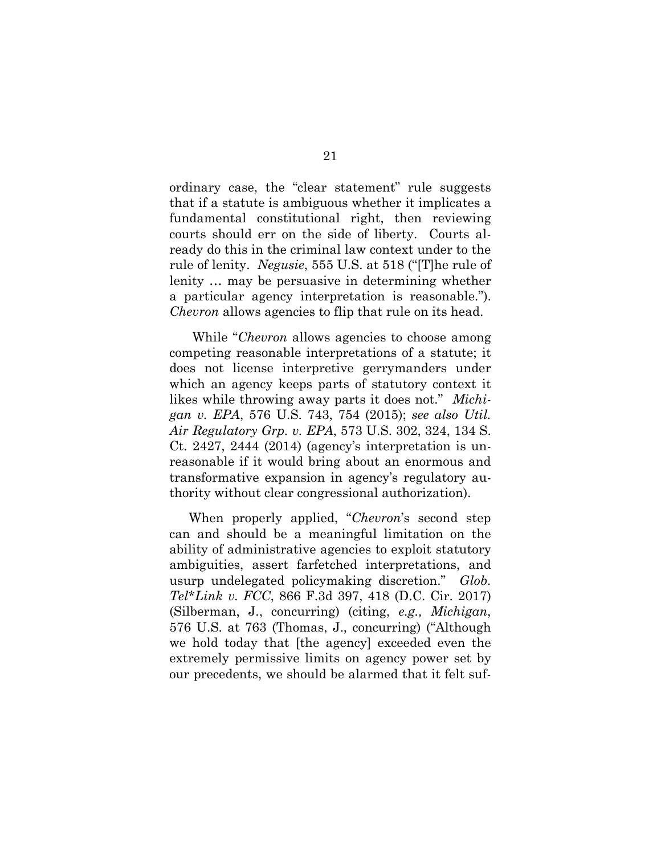ordinary case, the "clear statement" rule suggests that if a statute is ambiguous whether it implicates a fundamental constitutional right, then reviewing courts should err on the side of liberty. Courts already do this in the criminal law context under to the rule of lenity. *Negusie*, 555 U.S. at 518 ("[T]he rule of lenity … may be persuasive in determining whether a particular agency interpretation is reasonable."). *Chevron* allows agencies to flip that rule on its head.

While "*Chevron* allows agencies to choose among competing reasonable interpretations of a statute; it does not license interpretive gerrymanders under which an agency keeps parts of statutory context it likes while throwing away parts it does not." *Michigan v. EPA*, 576 U.S. 743, 754 (2015); *see also Util. Air Regulatory Grp. v. EPA*, 573 U.S. 302, 324, 134 S. Ct. 2427, 2444 (2014) (agency's interpretation is unreasonable if it would bring about an enormous and transformative expansion in agency's regulatory authority without clear congressional authorization).

When properly applied, "*Chevron*'s second step can and should be a meaningful limitation on the ability of administrative agencies to exploit statutory ambiguities, assert farfetched interpretations, and usurp undelegated policymaking discretion." *Glob. Tel\*Link v. FCC*, 866 F.3d 397, 418 (D.C. Cir. 2017) (Silberman, J., concurring) (citing, *e.g., Michigan*, 576 U.S. at 763 (Thomas, J., concurring) ("Although we hold today that [the agency] exceeded even the extremely permissive limits on agency power set by our precedents, we should be alarmed that it felt suf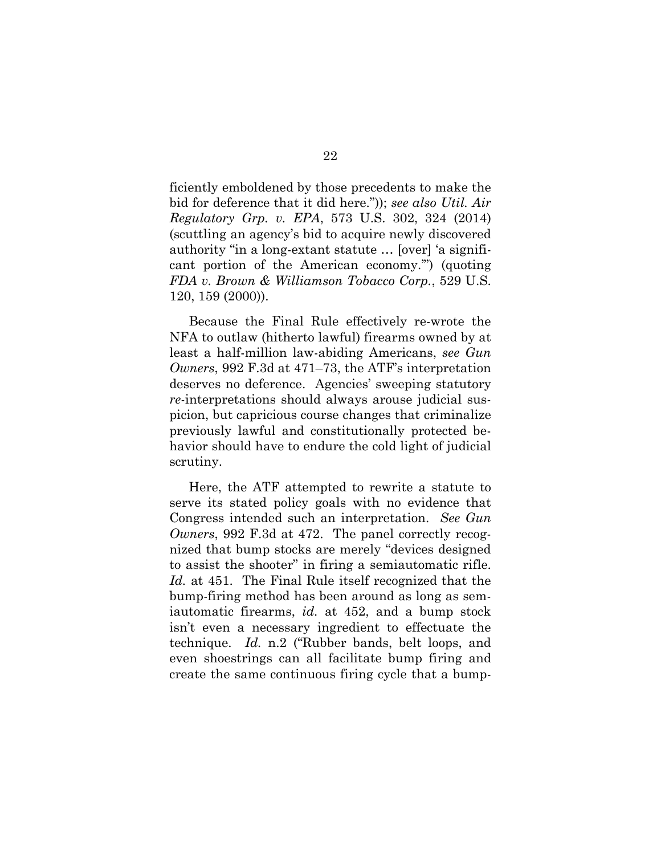ficiently emboldened by those precedents to make the bid for deference that it did here.")); *see also Util. Air Regulatory Grp. v. EPA*, 573 U.S. 302, 324 (2014) (scuttling an agency's bid to acquire newly discovered authority "in a long-extant statute … [over] 'a significant portion of the American economy.'") (quoting *FDA v. Brown & Williamson Tobacco Corp.*, 529 U.S. 120, 159 (2000)).

Because the Final Rule effectively re-wrote the NFA to outlaw (hitherto lawful) firearms owned by at least a half-million law-abiding Americans, *see Gun Owners*, 992 F.3d at 471–73, the ATF's interpretation deserves no deference. Agencies' sweeping statutory *re*-interpretations should always arouse judicial suspicion, but capricious course changes that criminalize previously lawful and constitutionally protected behavior should have to endure the cold light of judicial scrutiny.

Here, the ATF attempted to rewrite a statute to serve its stated policy goals with no evidence that Congress intended such an interpretation. *See Gun Owners*, 992 F.3d at 472. The panel correctly recognized that bump stocks are merely "devices designed to assist the shooter" in firing a semiautomatic rifle. *Id.* at 451. The Final Rule itself recognized that the bump-firing method has been around as long as semiautomatic firearms, *id.* at 452, and a bump stock isn't even a necessary ingredient to effectuate the technique. *Id.* n.2 ("Rubber bands, belt loops, and even shoestrings can all facilitate bump firing and create the same continuous firing cycle that a bump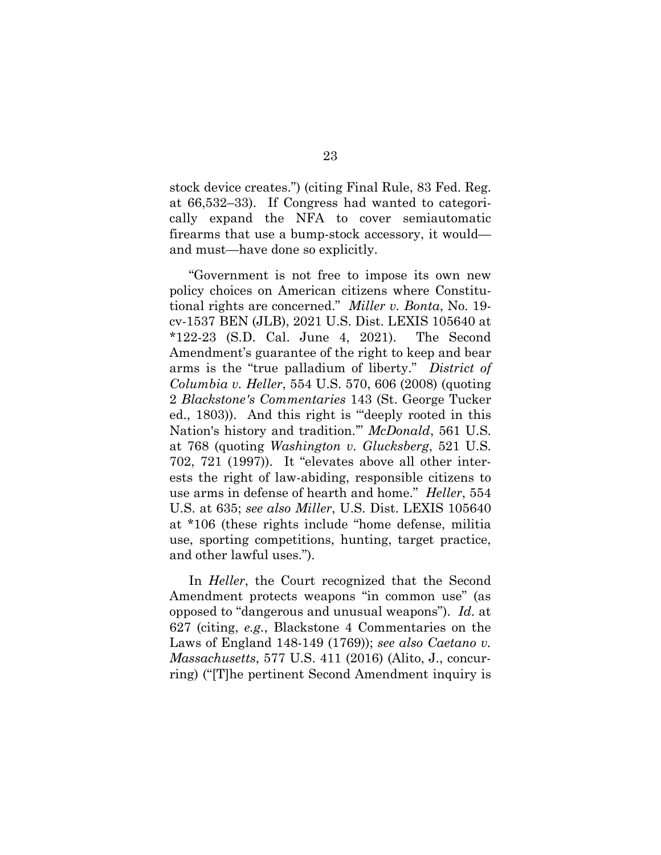stock device creates.") (citing Final Rule, 83 Fed. Reg. at 66,532–33). If Congress had wanted to categorically expand the NFA to cover semiautomatic firearms that use a bump-stock accessory, it would and must—have done so explicitly.

"Government is not free to impose its own new policy choices on American citizens where Constitutional rights are concerned." *Miller v. Bonta*, No. 19 cv-1537 BEN (JLB), 2021 U.S. Dist. LEXIS 105640 at \*122-23 (S.D. Cal. June 4, 2021). The Second Amendment's guarantee of the right to keep and bear arms is the "true palladium of liberty." *District of Columbia v. Heller*, 554 U.S. 570, 606 (2008) (quoting 2 *Blackstone's Commentaries* 143 (St. George Tucker ed., 1803)). And this right is '"deeply rooted in this Nation's history and tradition.'" *McDonald*, 561 U.S. at 768 (quoting *Washington v. Glucksberg*, 521 U.S. 702, 721 (1997)). It "elevates above all other interests the right of law-abiding, responsible citizens to use arms in defense of hearth and home." *Heller*, 554 U.S. at 635; *see also Miller*, U.S. Dist. LEXIS 105640 at \*106 (these rights include "home defense, militia use, sporting competitions, hunting, target practice, and other lawful uses.").

In *Heller*, the Court recognized that the Second Amendment protects weapons "in common use" (as opposed to "dangerous and unusual weapons"). *Id.* at 627 (citing, *e.g.*, Blackstone 4 Commentaries on the Laws of England 148-149 (1769)); *see also Caetano v. Massachusetts*, 577 U.S. 411 (2016) (Alito, J., concurring) ("[T]he pertinent Second Amendment inquiry is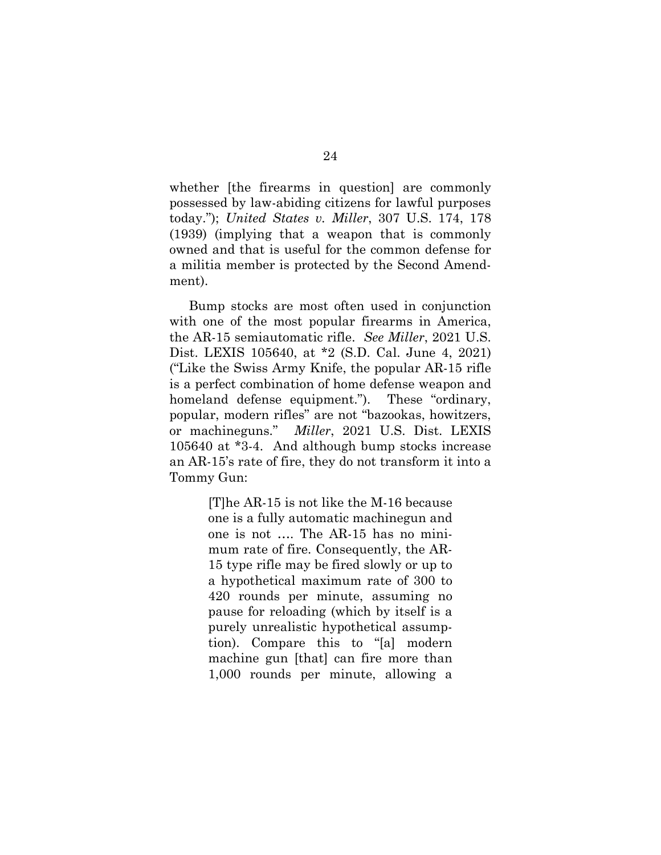whether [the firearms in question] are commonly possessed by law-abiding citizens for lawful purposes today."); *United States v. Miller*, 307 U.S. 174, 178 (1939) (implying that a weapon that is commonly owned and that is useful for the common defense for a militia member is protected by the Second Amendment).

Bump stocks are most often used in conjunction with one of the most popular firearms in America, the AR-15 semiautomatic rifle. *See Miller*, 2021 U.S. Dist. LEXIS 105640, at \*2 (S.D. Cal. June 4, 2021) ("Like the Swiss Army Knife, the popular AR-15 rifle is a perfect combination of home defense weapon and homeland defense equipment."). These "ordinary, popular, modern rifles" are not "bazookas, howitzers, or machineguns." *Miller*, 2021 U.S. Dist. LEXIS 105640 at \*3-4. And although bump stocks increase an AR-15's rate of fire, they do not transform it into a Tommy Gun:

> [T]he AR-15 is not like the M-16 because one is a fully automatic machinegun and one is not …. The AR-15 has no minimum rate of fire. Consequently, the AR-15 type rifle may be fired slowly or up to a hypothetical maximum rate of 300 to 420 rounds per minute, assuming no pause for reloading (which by itself is a purely unrealistic hypothetical assumption). Compare this to "[a] modern machine gun [that] can fire more than 1,000 rounds per minute, allowing a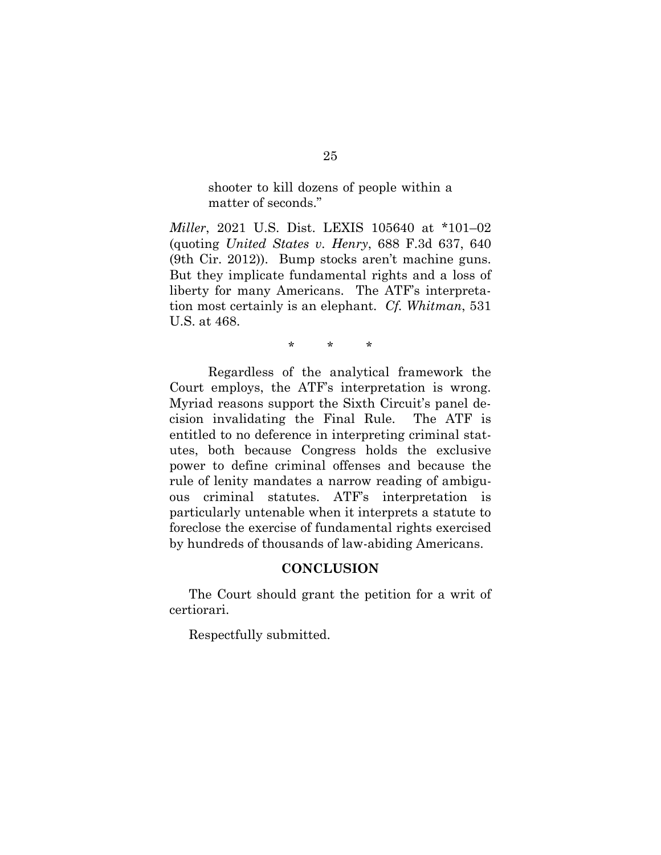shooter to kill dozens of people within a matter of seconds."

*Miller*, 2021 U.S. Dist. LEXIS 105640 at \*101–02 (quoting *United States v. Henry*, 688 F.3d 637, 640 (9th Cir. 2012)). Bump stocks aren't machine guns. But they implicate fundamental rights and a loss of liberty for many Americans. The ATF's interpretation most certainly is an elephant. *Cf. Whitman*, 531 U.S. at 468.

\* \* \*

Regardless of the analytical framework the Court employs, the ATF's interpretation is wrong. Myriad reasons support the Sixth Circuit's panel decision invalidating the Final Rule. The ATF is entitled to no deference in interpreting criminal statutes, both because Congress holds the exclusive power to define criminal offenses and because the rule of lenity mandates a narrow reading of ambiguous criminal statutes. ATF's interpretation is particularly untenable when it interprets a statute to foreclose the exercise of fundamental rights exercised by hundreds of thousands of law-abiding Americans.

#### **CONCLUSION**

The Court should grant the petition for a writ of certiorari.

Respectfully submitted.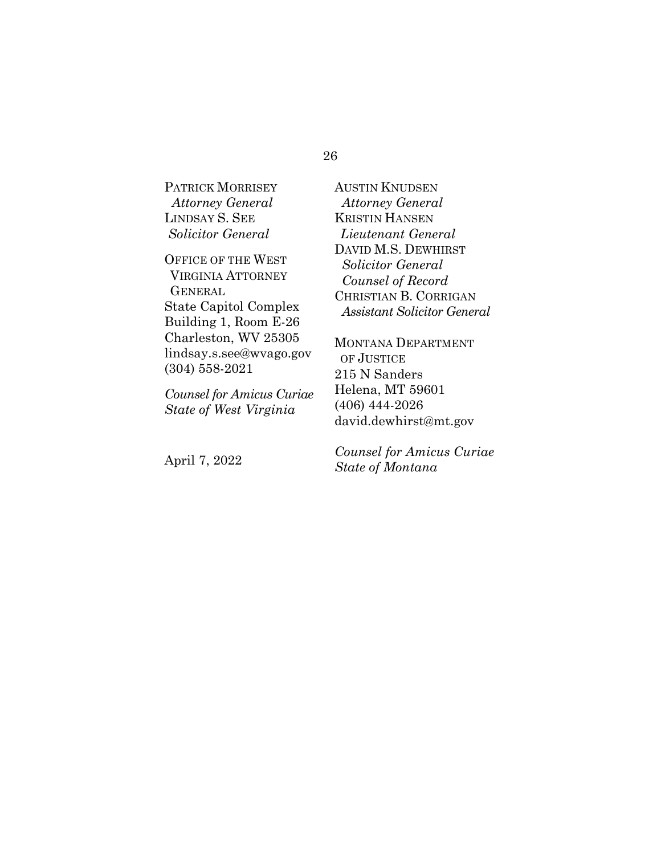#### 26

PATRICK MORRISEY  *Attorney General* LINDSAY S. SEE *Solicitor General*

OFFICE OF THE WEST VIRGINIA ATTORNEY **GENERAL** State Capitol Complex Building 1, Room E-26 Charleston, WV 25305 lindsay.s.see@wvago.gov (304) 558-2021

*Counsel for Amicus Curiae State of West Virginia*

April 7, 2022

AUSTIN KNUDSEN *Attorney General* KRISTIN HANSEN *Lieutenant General* DAVID M.S. DEWHIRST  *Solicitor General Counsel of Record* CHRISTIAN B. CORRIGAN  *Assistant Solicitor General*

MONTANA DEPARTMENT OF JUSTICE 215 N Sanders Helena, MT 59601 (406) 444-2026 david.dewhirst@mt.gov

*Counsel for Amicus Curiae State of Montana*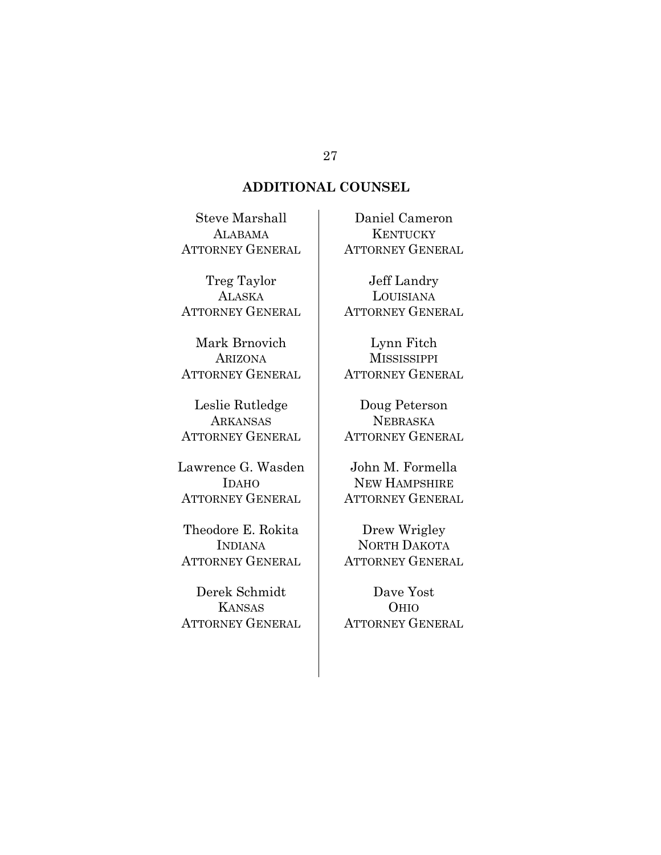## **ADDITIONAL COUNSEL**

Steve Marshall ALABAMA ATTORNEY GENERAL

Treg Taylor **ALASKA** ATTORNEY GENERAL

Mark Brnovich ARIZONA ATTORNEY GENERAL

Leslie Rutledge ARKANSAS ATTORNEY GENERAL

Lawrence G. Wasden IDAHO ATTORNEY GENERAL

Theodore E. Rokita INDIANA ATTORNEY GENERAL

Derek Schmidt KANSAS ATTORNEY GENERAL

Daniel Cameron **KENTUCKY** ATTORNEY GENERAL

Jeff Landry LOUISIANA ATTORNEY GENERAL

Lynn Fitch **MISSISSIPPI** ATTORNEY GENERAL

Doug Peterson NEBRASKA ATTORNEY GENERAL

John M. Formella NEW HAMPSHIRE ATTORNEY GENERAL

Drew Wrigley NORTH DAKOTA ATTORNEY GENERAL

Dave Yost OHIO ATTORNEY GENERAL

#### 27